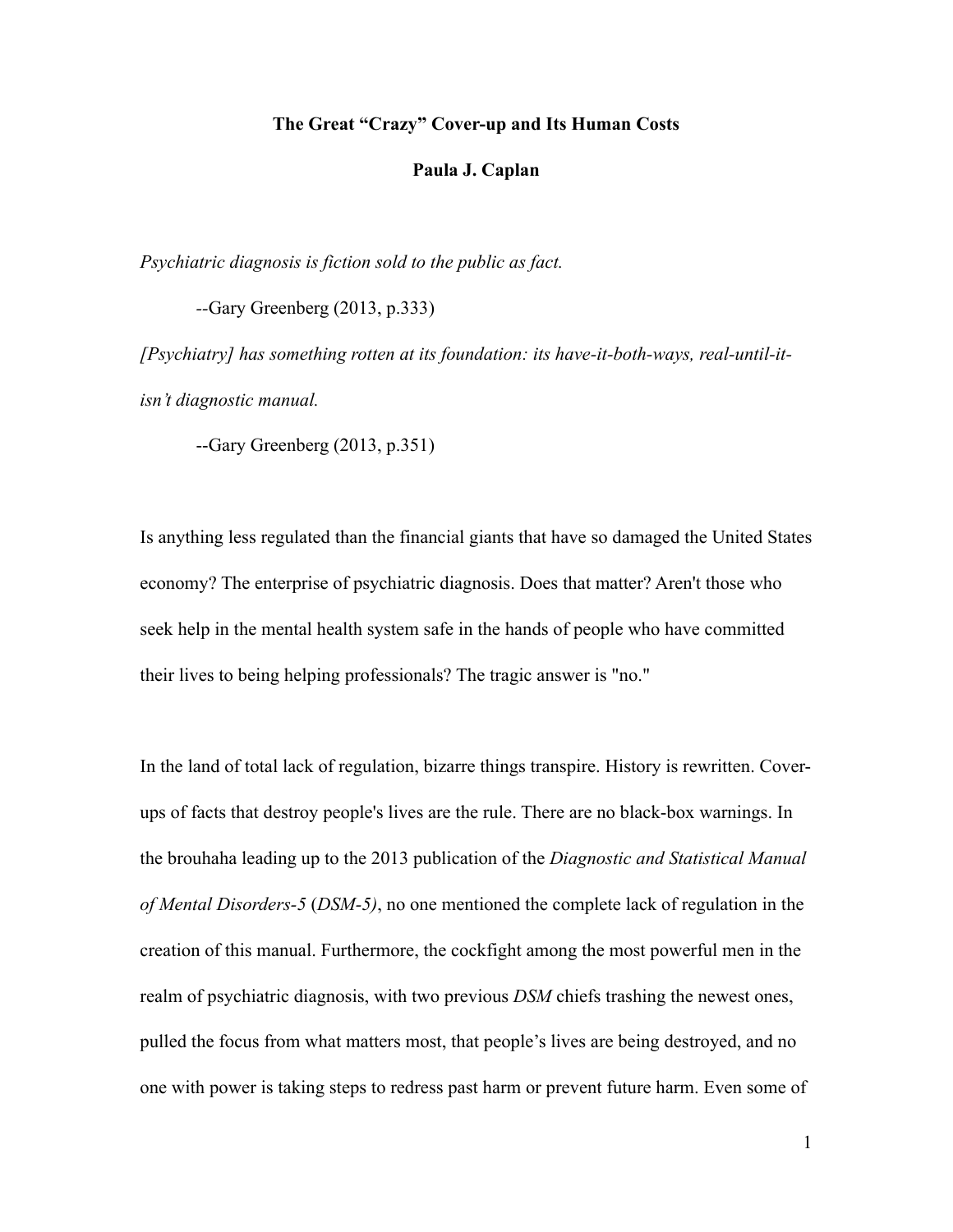## **The Great "Crazy" Cover-up and Its Human Costs**

#### **Paula J. Caplan**

*Psychiatric diagnosis is fiction sold to the public as fact.*

 *--*Gary Greenberg (2013, p.333)

*[Psychiatry] has something rotten at its foundation: its have-it-both-ways, real-until-itisn't diagnostic manual.*

--Gary Greenberg (2013, p.351)

Is anything less regulated than the financial giants that have so damaged the United States economy? The enterprise of psychiatric diagnosis. Does that matter? Aren't those who seek help in the mental health system safe in the hands of people who have committed their lives to being helping professionals? The tragic answer is "no."

In the land of total lack of regulation, bizarre things transpire. History is rewritten. Coverups of facts that destroy people's lives are the rule. There are no black-box warnings. In the brouhaha leading up to the 2013 publication of the *Diagnostic and Statistical Manual of Mental Disorders-5* (*DSM-5)*, no one mentioned the complete lack of regulation in the creation of this manual. Furthermore, the cockfight among the most powerful men in the realm of psychiatric diagnosis, with two previous *DSM* chiefs trashing the newest ones, pulled the focus from what matters most, that people's lives are being destroyed, and no one with power is taking steps to redress past harm or prevent future harm. Even some of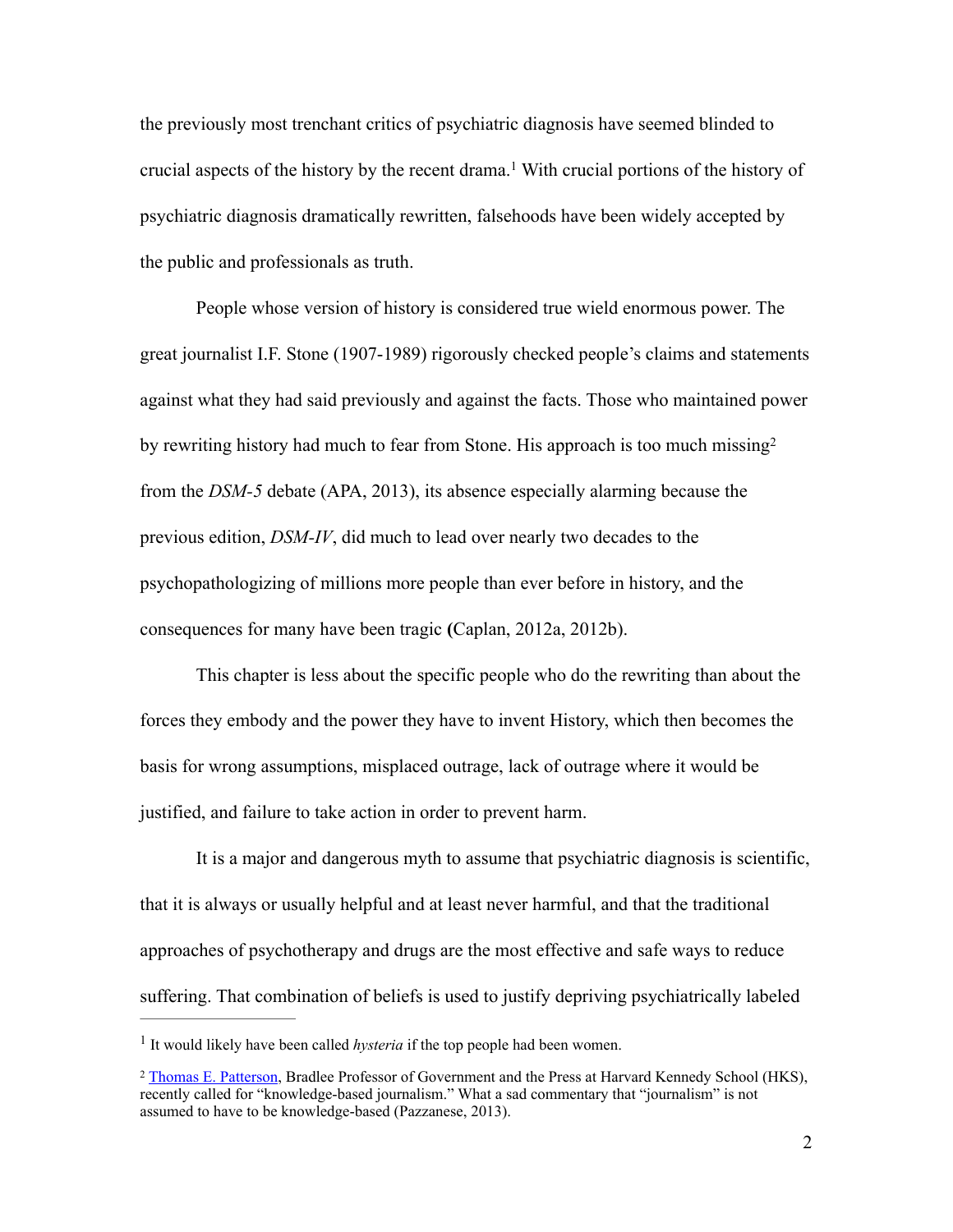the previously most trenchant critics of psychiatric diagnosis have seemed blinded to crucial aspects of the history by the recent drama.<sup>1</sup> With crucial portions of the history of psychiatric diagnosis dramatically rewritten, falsehoods have been widely accepted by the public and professionals as truth.

People whose version of history is considered true wield enormous power. The great journalist I.F. Stone (1907-1989) rigorously checked people's claims and statements against what they had said previously and against the facts. Those who maintained power by rewriting history had much to fear from Stone. His approach is too much missing2 from the *DSM-5* debate (APA, 2013), its absence especially alarming because the previous edition, *DSM-IV*, did much to lead over nearly two decades to the psychopathologizing of millions more people than ever before in history, and the consequences for many have been tragic **(**Caplan, 2012a, 2012b).

 This chapter is less about the specific people who do the rewriting than about the forces they embody and the power they have to invent History, which then becomes the basis for wrong assumptions, misplaced outrage, lack of outrage where it would be justified, and failure to take action in order to prevent harm.

 It is a major and dangerous myth to assume that psychiatric diagnosis is scientific, that it is always or usually helpful and at least never harmful, and that the traditional approaches of psychotherapy and drugs are the most effective and safe ways to reduce suffering. That combination of beliefs is used to justify depriving psychiatrically labeled

<sup>&</sup>lt;sup>1</sup> It would likely have been called *hysteria* if the top people had been women.

<sup>&</sup>lt;sup>2</sup> Thomas E. Patterson, Bradlee Professor of Government and the Press at Harvard Kennedy School (HKS), recently called for "knowledge-based journalism." What a sad commentary that "journalism" is not assumed to have to be knowledge-based (Pazzanese, 2013).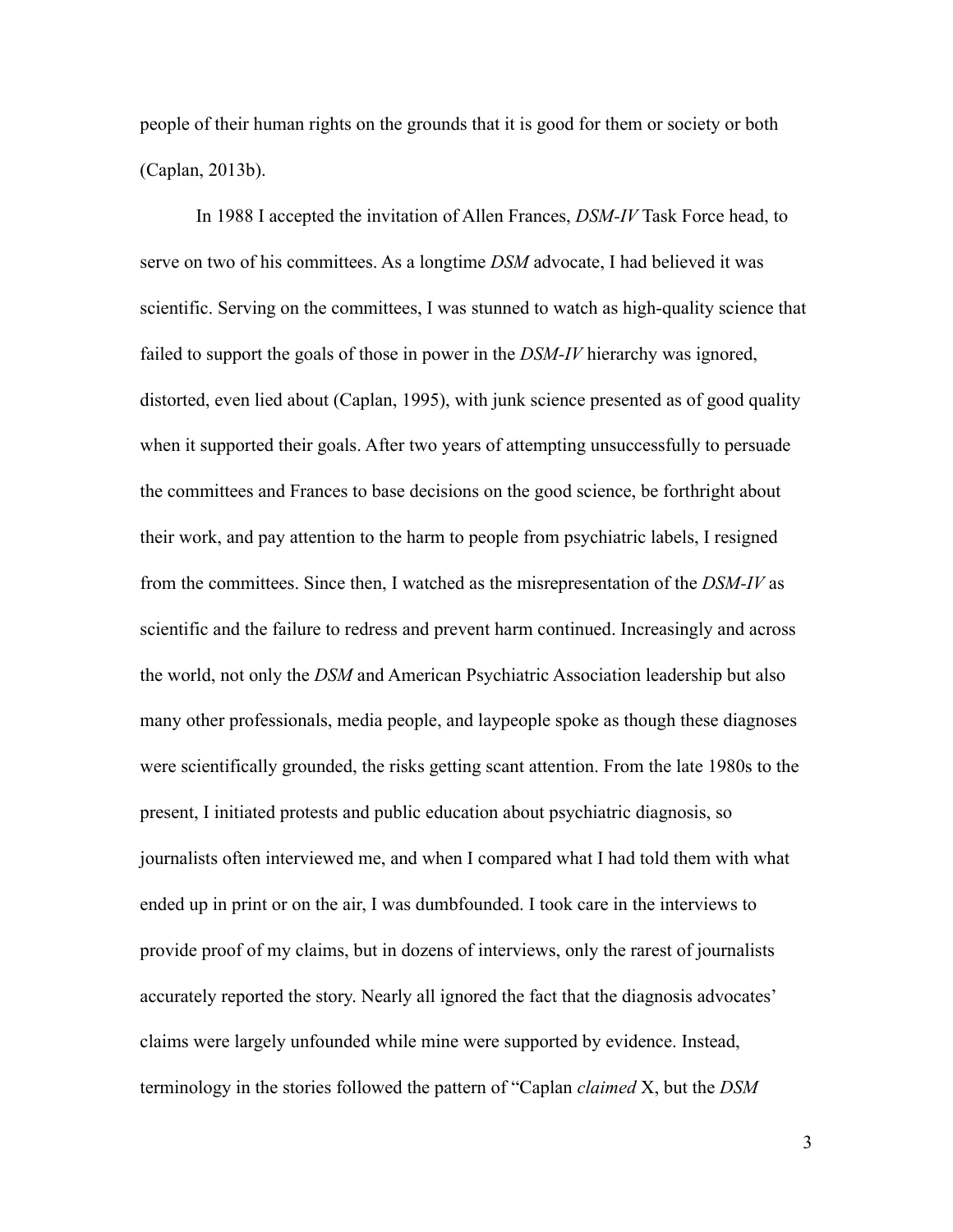people of their human rights on the grounds that it is good for them or society or both (Caplan, 2013b).

In 1988 I accepted the invitation of Allen Frances, *DSM-IV* Task Force head, to serve on two of his committees. As a longtime *DSM* advocate, I had believed it was scientific. Serving on the committees, I was stunned to watch as high-quality science that failed to support the goals of those in power in the *DSM-IV* hierarchy was ignored, distorted, even lied about (Caplan, 1995), with junk science presented as of good quality when it supported their goals. After two years of attempting unsuccessfully to persuade the committees and Frances to base decisions on the good science, be forthright about their work, and pay attention to the harm to people from psychiatric labels, I resigned from the committees. Since then, I watched as the misrepresentation of the *DSM-IV* as scientific and the failure to redress and prevent harm continued. Increasingly and across the world, not only the *DSM* and American Psychiatric Association leadership but also many other professionals, media people, and laypeople spoke as though these diagnoses were scientifically grounded, the risks getting scant attention. From the late 1980s to the present, I initiated protests and public education about psychiatric diagnosis, so journalists often interviewed me, and when I compared what I had told them with what ended up in print or on the air, I was dumbfounded. I took care in the interviews to provide proof of my claims, but in dozens of interviews, only the rarest of journalists accurately reported the story. Nearly all ignored the fact that the diagnosis advocates' claims were largely unfounded while mine were supported by evidence. Instead, terminology in the stories followed the pattern of "Caplan *claimed* X, but the *DSM*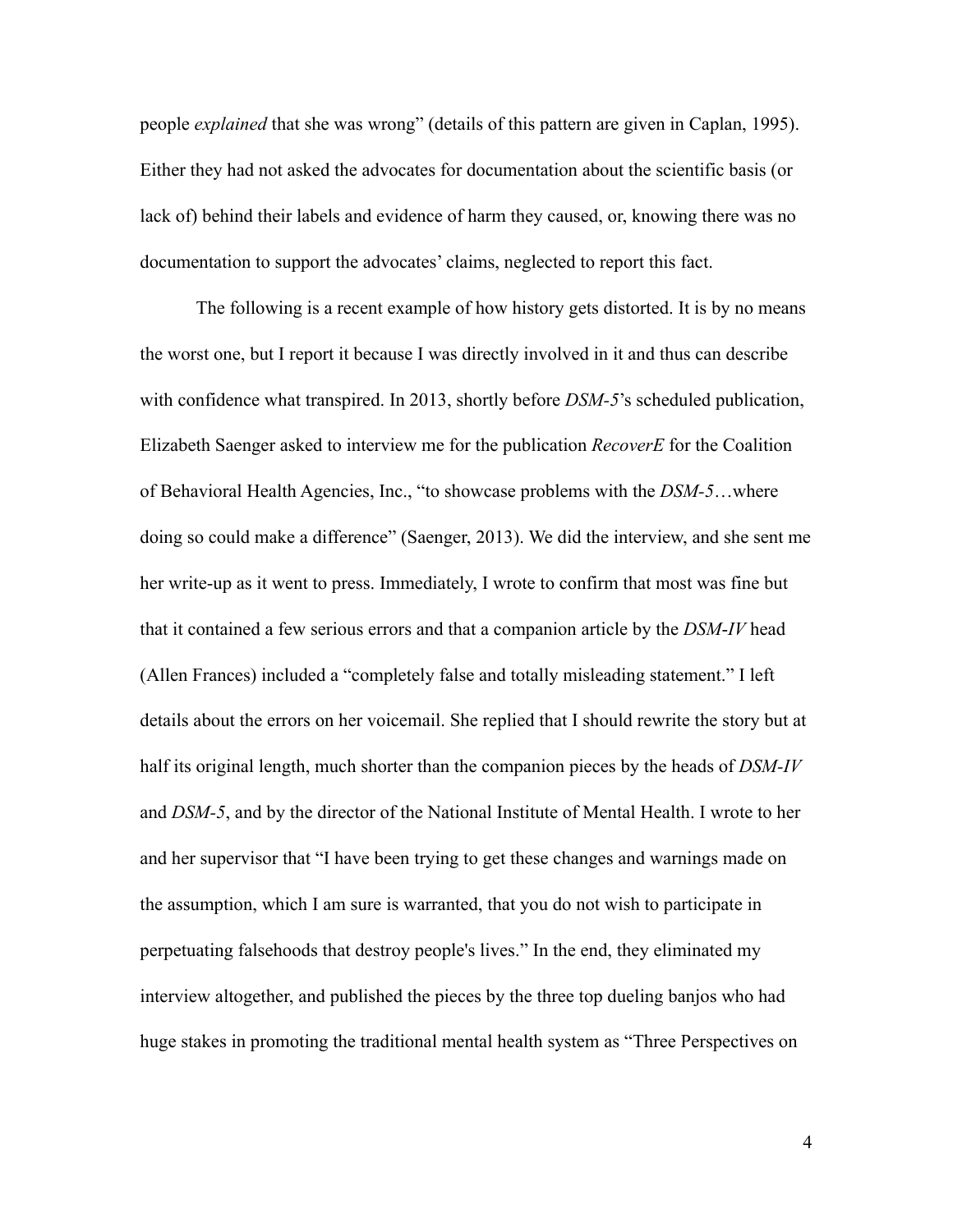people *explained* that she was wrong" (details of this pattern are given in Caplan, 1995). Either they had not asked the advocates for documentation about the scientific basis (or lack of) behind their labels and evidence of harm they caused, or, knowing there was no documentation to support the advocates' claims, neglected to report this fact.

The following is a recent example of how history gets distorted. It is by no means the worst one, but I report it because I was directly involved in it and thus can describe with confidence what transpired. In 2013, shortly before *DSM-5*'s scheduled publication, Elizabeth Saenger asked to interview me for the publication *RecoverE* for the Coalition of Behavioral Health Agencies, Inc., "to showcase problems with the *DSM-5*…where doing so could make a difference" (Saenger, 2013). We did the interview, and she sent me her write-up as it went to press. Immediately, I wrote to confirm that most was fine but that it contained a few serious errors and that a companion article by the *DSM*-*IV* head (Allen Frances) included a "completely false and totally misleading statement." I left details about the errors on her voicemail. She replied that I should rewrite the story but at half its original length, much shorter than the companion pieces by the heads of *DSM-IV* and *DSM-5*, and by the director of the National Institute of Mental Health. I wrote to her and her supervisor that "I have been trying to get these changes and warnings made on the assumption, which I am sure is warranted, that you do not wish to participate in perpetuating falsehoods that destroy people's lives." In the end, they eliminated my interview altogether, and published the pieces by the three top dueling banjos who had huge stakes in promoting the traditional mental health system as "Three Perspectives on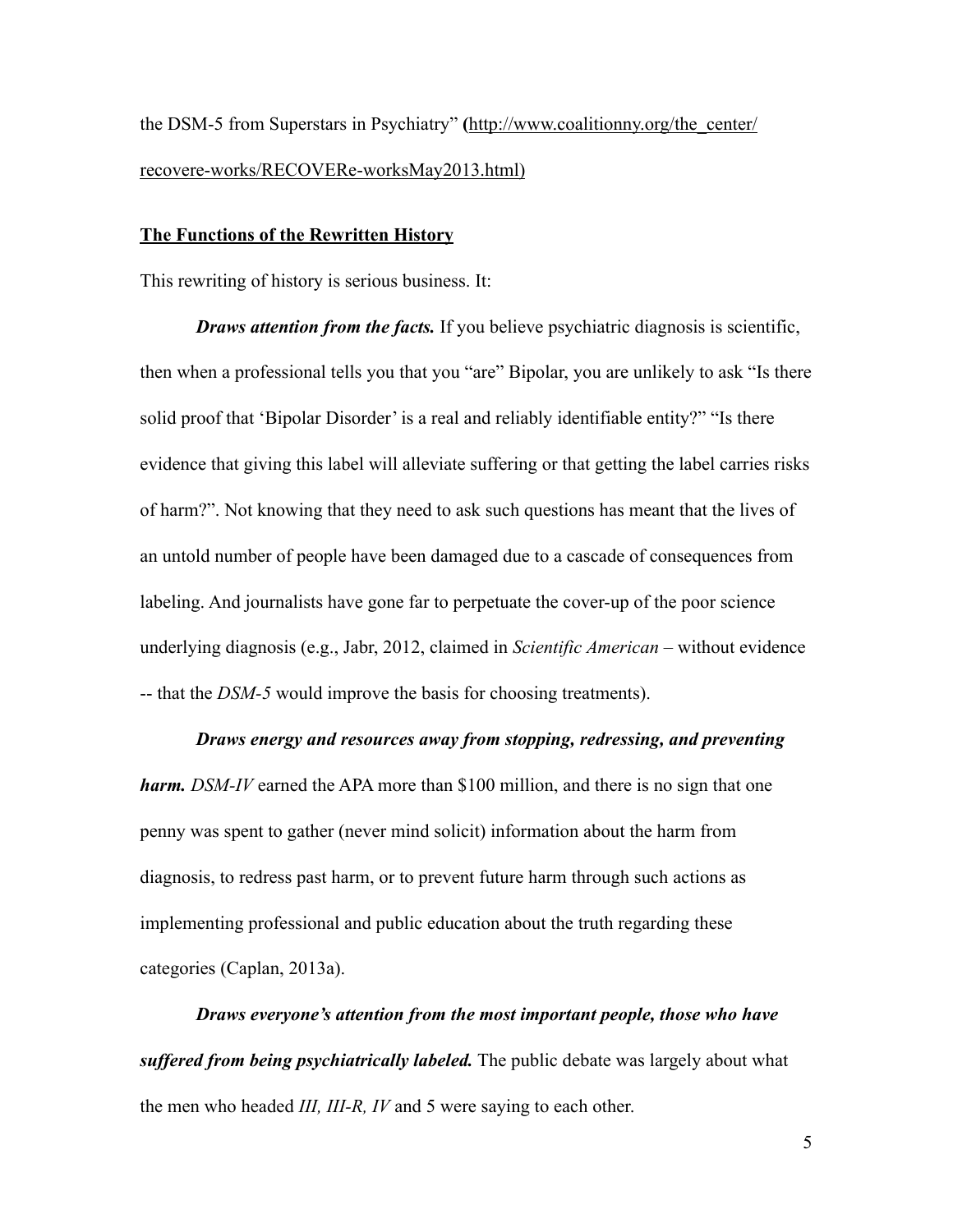the DSM-5 from Superstars in Psychiatry" **(**http://www.coalitionny.org/the\_center/ recovere-works/RECOVERe-worksMay2013.html)

## **The Functions of the Rewritten History**

This rewriting of history is serious business. It:

*Draws attention from the facts.* If you believe psychiatric diagnosis is scientific, then when a professional tells you that you "are" Bipolar, you are unlikely to ask "Is there solid proof that 'Bipolar Disorder' is a real and reliably identifiable entity?" "Is there evidence that giving this label will alleviate suffering or that getting the label carries risks of harm?". Not knowing that they need to ask such questions has meant that the lives of an untold number of people have been damaged due to a cascade of consequences from labeling. And journalists have gone far to perpetuate the cover-up of the poor science underlying diagnosis (e.g., Jabr, 2012, claimed in *Scientific American* – without evidence -- that the *DSM-5* would improve the basis for choosing treatments).

#### *Draws energy and resources away from stopping, redressing, and preventing*

*harm. DSM-IV* earned the APA more than \$100 million, and there is no sign that one penny was spent to gather (never mind solicit) information about the harm from diagnosis, to redress past harm, or to prevent future harm through such actions as implementing professional and public education about the truth regarding these categories (Caplan, 2013a).

*Draws everyone's attention from the most important people, those who have suffered from being psychiatrically labeled.* The public debate was largely about what the men who headed *III, III-R, IV* and 5 were saying to each other.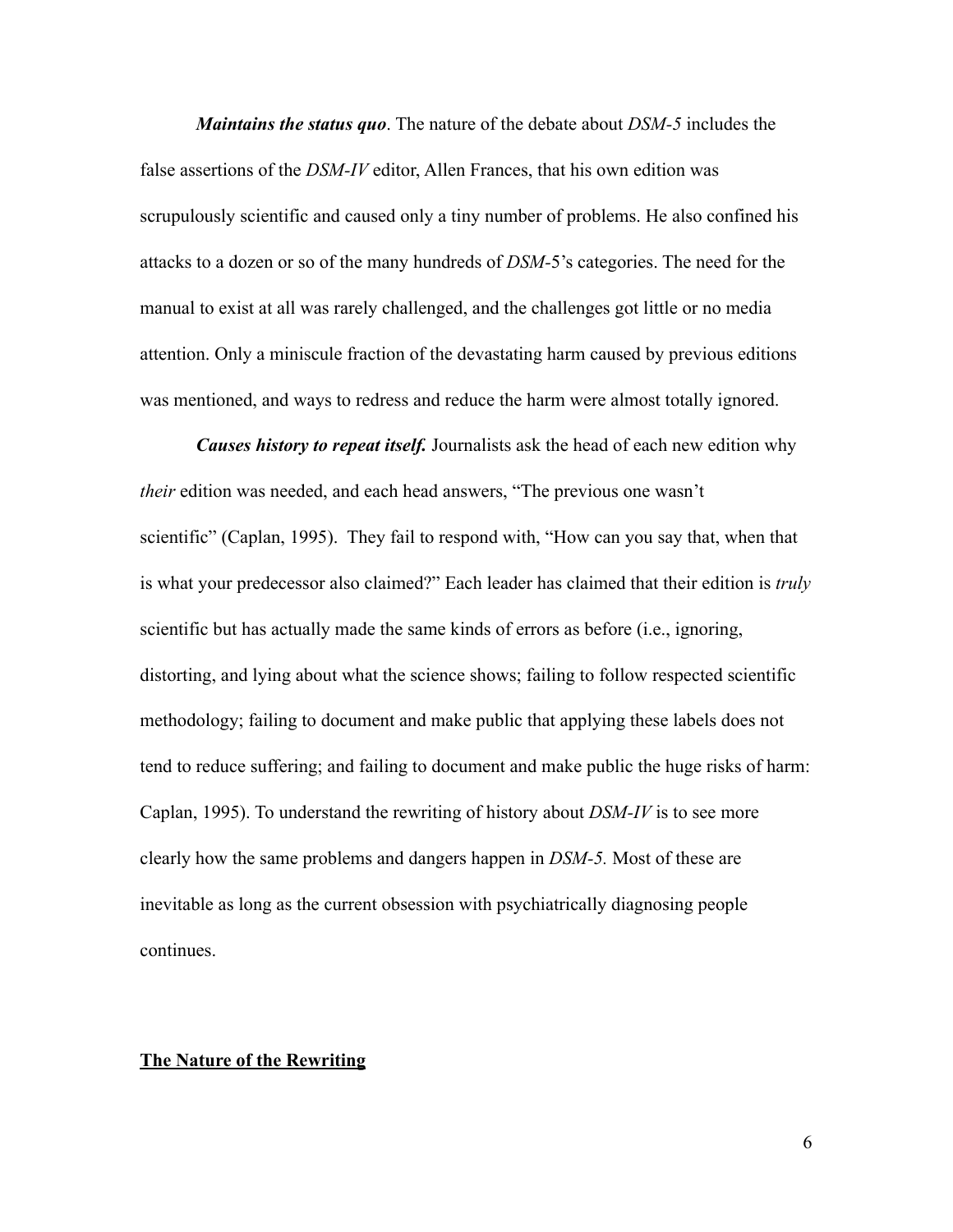*Maintains the status quo*. The nature of the debate about *DSM-5* includes the false assertions of the *DSM-IV* editor, Allen Frances, that his own edition was scrupulously scientific and caused only a tiny number of problems. He also confined his attacks to a dozen or so of the many hundreds of *DSM-*5's categories. The need for the manual to exist at all was rarely challenged, and the challenges got little or no media attention. Only a miniscule fraction of the devastating harm caused by previous editions was mentioned, and ways to redress and reduce the harm were almost totally ignored.

*Causes history to repeat itself.* Journalists ask the head of each new edition why *their* edition was needed, and each head answers, "The previous one wasn't scientific" (Caplan, 1995). They fail to respond with, "How can you say that, when that is what your predecessor also claimed?" Each leader has claimed that their edition is *truly* scientific but has actually made the same kinds of errors as before (i.e., ignoring, distorting, and lying about what the science shows; failing to follow respected scientific methodology; failing to document and make public that applying these labels does not tend to reduce suffering; and failing to document and make public the huge risks of harm: Caplan, 1995). To understand the rewriting of history about *DSM-IV* is to see more clearly how the same problems and dangers happen in *DSM-5.* Most of these are inevitable as long as the current obsession with psychiatrically diagnosing people continues.

## **The Nature of the Rewriting**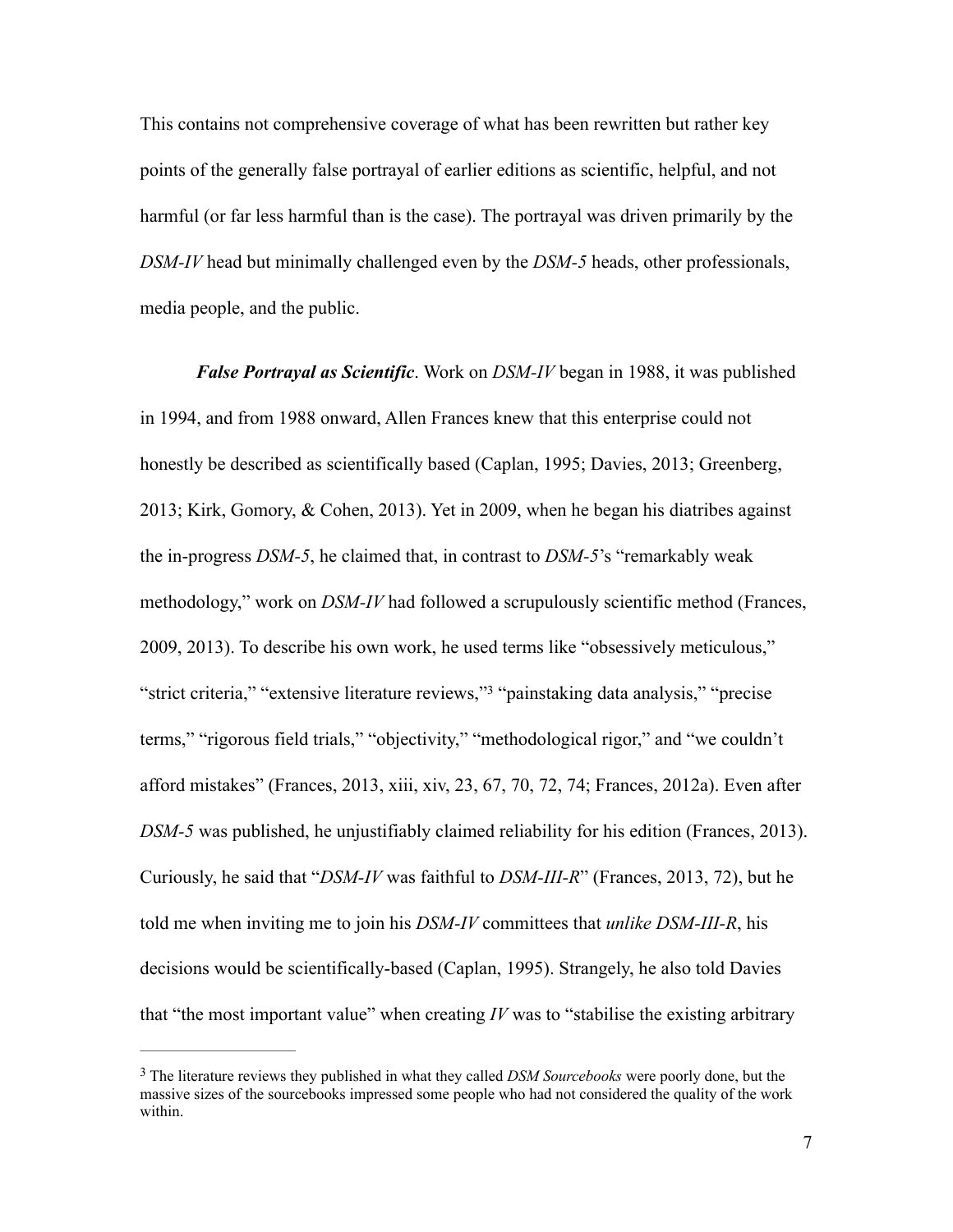This contains not comprehensive coverage of what has been rewritten but rather key points of the generally false portrayal of earlier editions as scientific, helpful, and not harmful (or far less harmful than is the case). The portrayal was driven primarily by the *DSM-IV* head but minimally challenged even by the *DSM-5* heads, other professionals, media people, and the public.

*False Portrayal as Scientific*. Work on *DSM-IV* began in 1988, it was published in 1994, and from 1988 onward, Allen Frances knew that this enterprise could not honestly be described as scientifically based (Caplan, 1995; Davies, 2013; Greenberg, 2013; Kirk, Gomory, & Cohen, 2013). Yet in 2009, when he began his diatribes against the in-progress *DSM-5*, he claimed that, in contrast to *DSM-5*'s "remarkably weak methodology," work on *DSM-IV* had followed a scrupulously scientific method (Frances, 2009, 2013). To describe his own work, he used terms like "obsessively meticulous," "strict criteria," "extensive literature reviews,"<sup>3</sup> "painstaking data analysis," "precise terms," "rigorous field trials," "objectivity," "methodological rigor," and "we couldn't afford mistakes" (Frances, 2013, xiii, xiv, 23, 67, 70, 72, 74; Frances, 2012a). Even after *DSM-5* was published, he unjustifiably claimed reliability for his edition (Frances, 2013). Curiously, he said that "*DSM-IV* was faithful to *DSM-III-R*" (Frances, 2013, 72), but he told me when inviting me to join his *DSM-IV* committees that *unlike DSM-III-R*, his decisions would be scientifically-based (Caplan, 1995). Strangely, he also told Davies that "the most important value" when creating *IV* was to "stabilise the existing arbitrary

<sup>&</sup>lt;sup>3</sup> The literature reviews they published in what they called *DSM Sourcebooks* were poorly done, but the massive sizes of the sourcebooks impressed some people who had not considered the quality of the work within.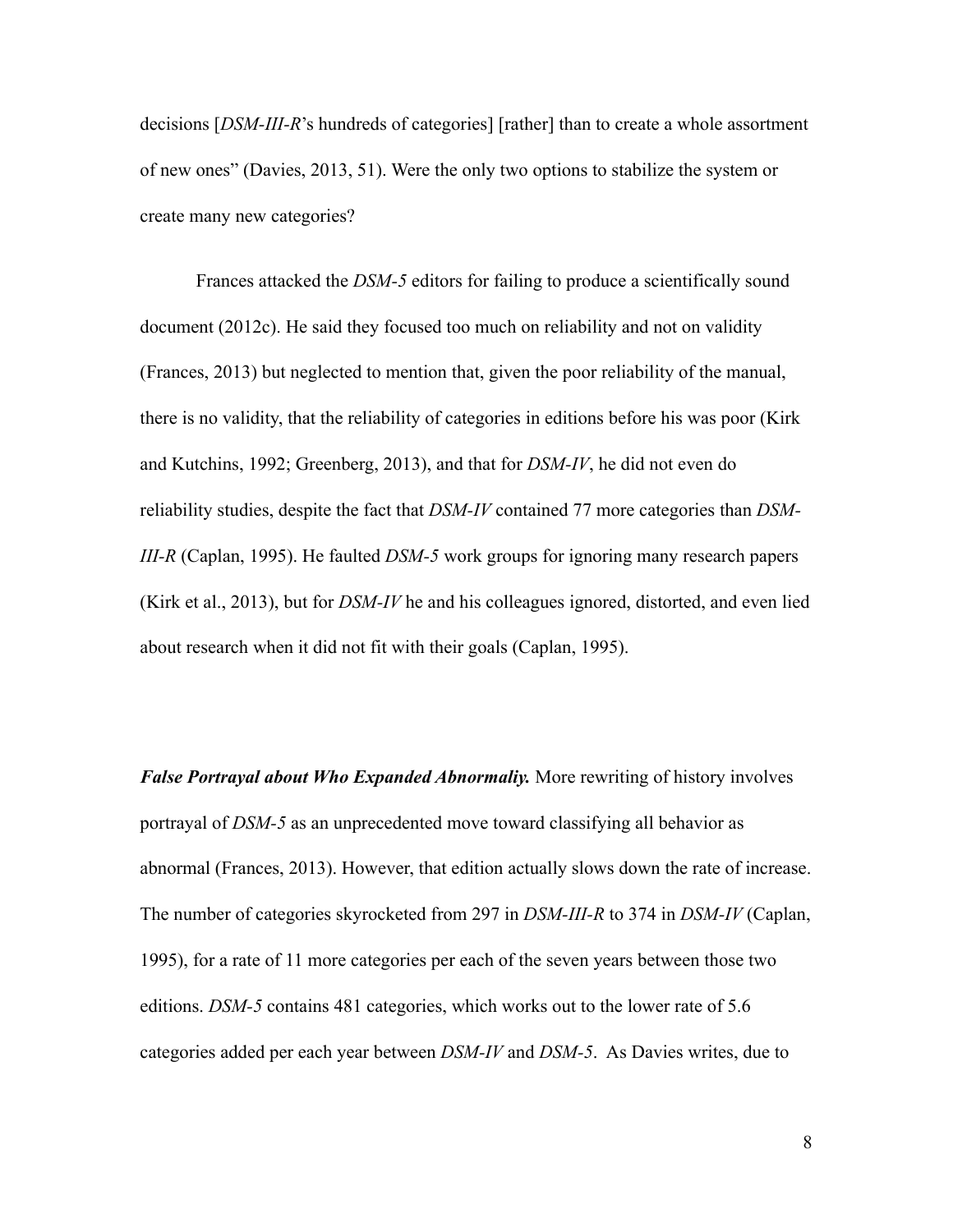decisions [*DSM-III-R*'s hundreds of categories] [rather] than to create a whole assortment of new ones" (Davies, 2013, 51). Were the only two options to stabilize the system or create many new categories?

 Frances attacked the *DSM-5* editors for failing to produce a scientifically sound document (2012c). He said they focused too much on reliability and not on validity (Frances, 2013) but neglected to mention that, given the poor reliability of the manual, there is no validity, that the reliability of categories in editions before his was poor (Kirk and Kutchins, 1992; Greenberg, 2013), and that for *DSM-IV*, he did not even do reliability studies, despite the fact that *DSM-IV* contained 77 more categories than *DSM-III-R* (Caplan, 1995). He faulted *DSM-5* work groups for ignoring many research papers (Kirk et al., 2013), but for *DSM-IV* he and his colleagues ignored, distorted, and even lied about research when it did not fit with their goals (Caplan, 1995).

*False Portrayal about Who Expanded Abnormaliy.* More rewriting of history involves portrayal of *DSM-5* as an unprecedented move toward classifying all behavior as abnormal (Frances, 2013). However, that edition actually slows down the rate of increase. The number of categories skyrocketed from 297 in *DSM-III-R* to 374 in *DSM-IV* (Caplan, 1995), for a rate of 11 more categories per each of the seven years between those two editions. *DSM-5* contains 481 categories, which works out to the lower rate of 5.6 categories added per each year between *DSM-IV* and *DSM-5*. As Davies writes, due to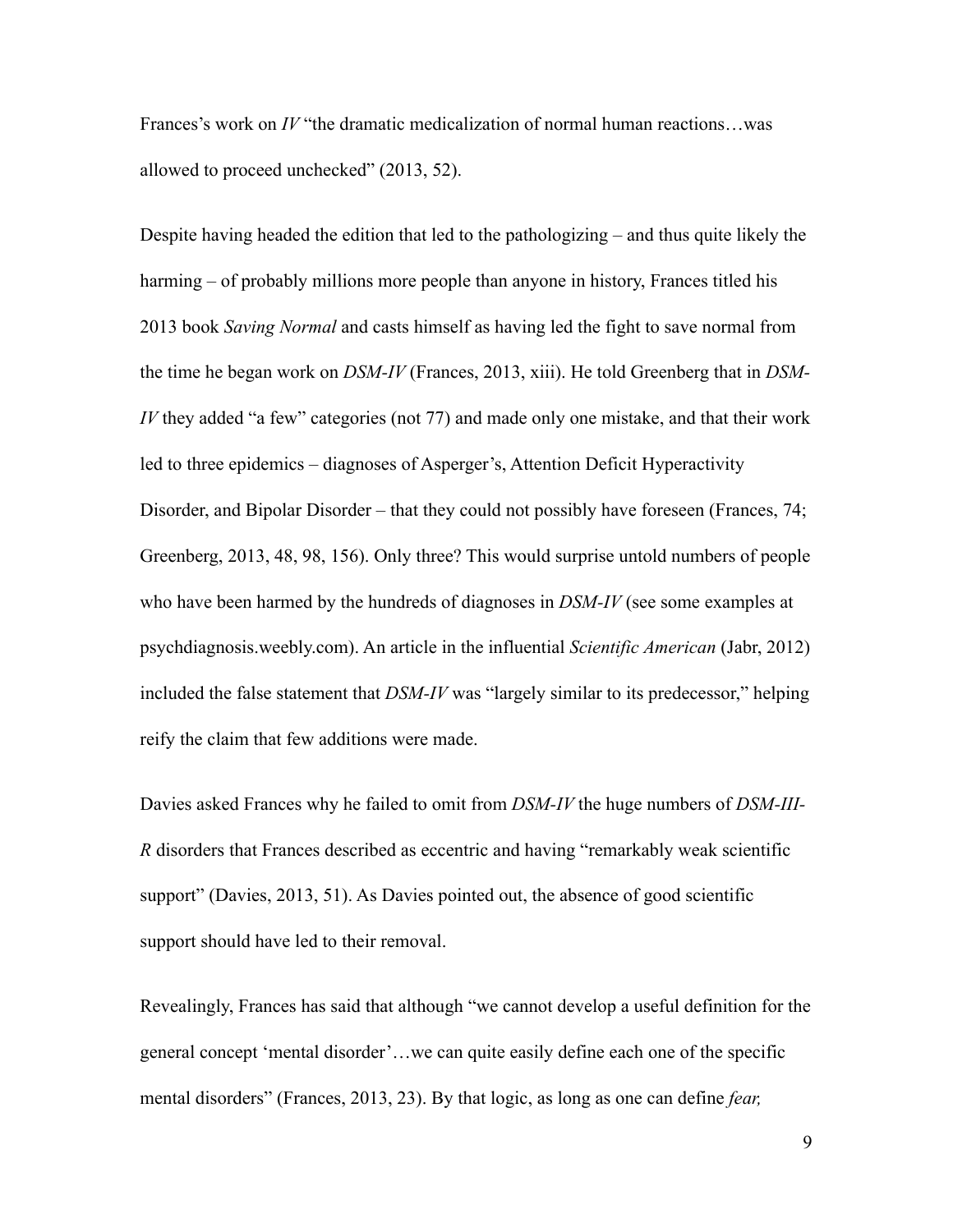Frances's work on *IV* "the dramatic medicalization of normal human reactions…was allowed to proceed unchecked" (2013, 52).

Despite having headed the edition that led to the pathologizing – and thus quite likely the harming – of probably millions more people than anyone in history, Frances titled his 2013 book *Saving Normal* and casts himself as having led the fight to save normal from the time he began work on *DSM-IV* (Frances, 2013, xiii). He told Greenberg that in *DSM-IV* they added "a few" categories (not 77) and made only one mistake, and that their work led to three epidemics – diagnoses of Asperger's, Attention Deficit Hyperactivity Disorder, and Bipolar Disorder – that they could not possibly have foreseen (Frances, 74; Greenberg, 2013, 48, 98, 156). Only three? This would surprise untold numbers of people who have been harmed by the hundreds of diagnoses in *DSM-IV* (see some examples at psychdiagnosis.weebly.com). An article in the influential *Scientific American* (Jabr, 2012) included the false statement that *DSM-IV* was "largely similar to its predecessor," helping reify the claim that few additions were made.

Davies asked Frances why he failed to omit from *DSM-IV* the huge numbers of *DSM-III-R* disorders that Frances described as eccentric and having "remarkably weak scientific support" (Davies, 2013, 51). As Davies pointed out, the absence of good scientific support should have led to their removal.

Revealingly, Frances has said that although "we cannot develop a useful definition for the general concept 'mental disorder'…we can quite easily define each one of the specific mental disorders" (Frances, 2013, 23). By that logic, as long as one can define *fear,*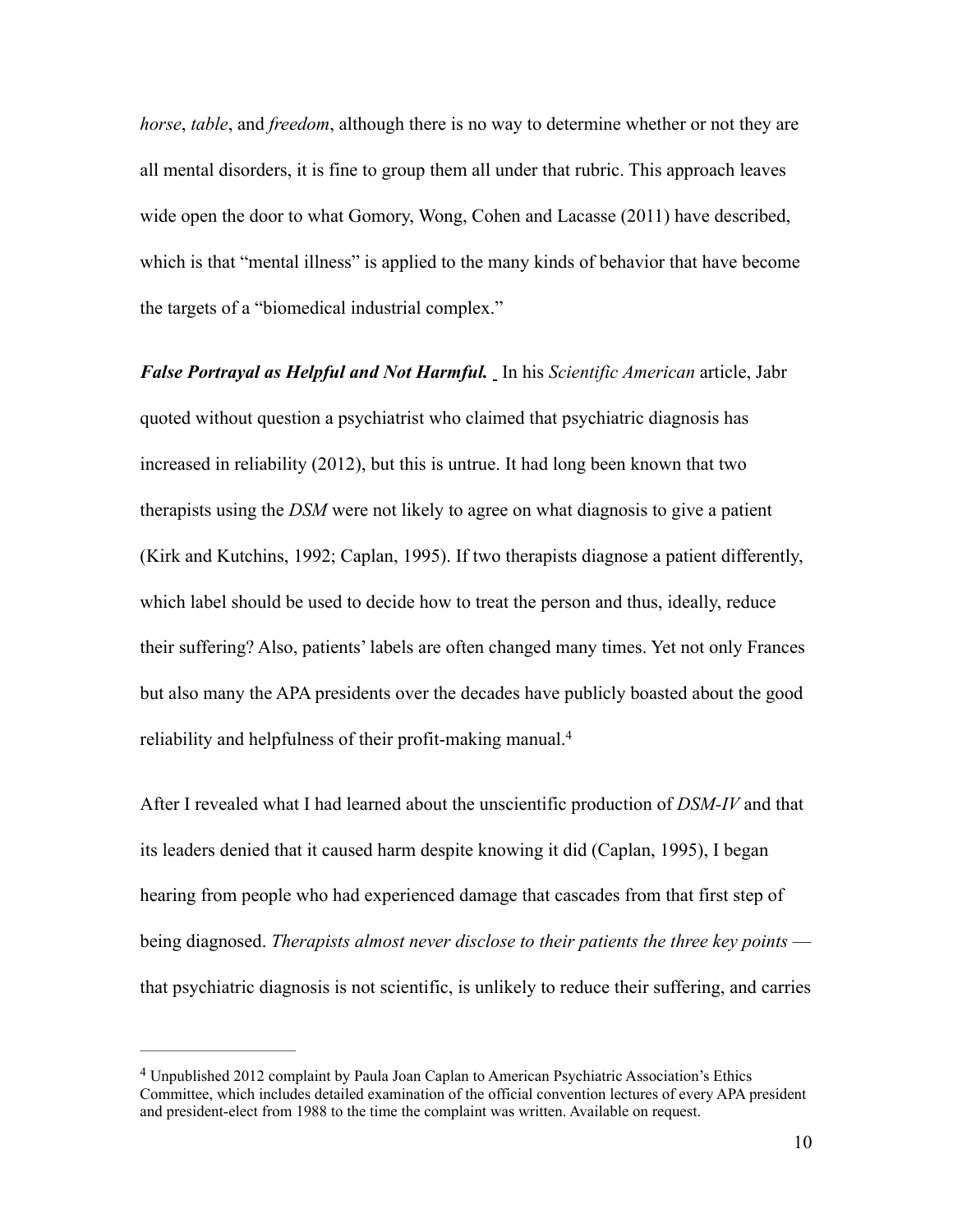*horse*, *table*, and *freedom*, although there is no way to determine whether or not they are all mental disorders, it is fine to group them all under that rubric. This approach leaves wide open the door to what Gomory, Wong, Cohen and Lacasse (2011) have described, which is that "mental illness" is applied to the many kinds of behavior that have become the targets of a "biomedical industrial complex."

*False Portrayal as Helpful and Not Harmful.* In his *Scientific American* article, Jabr quoted without question a psychiatrist who claimed that psychiatric diagnosis has increased in reliability (2012), but this is untrue. It had long been known that two therapists using the *DSM* were not likely to agree on what diagnosis to give a patient (Kirk and Kutchins, 1992; Caplan, 1995). If two therapists diagnose a patient differently, which label should be used to decide how to treat the person and thus, ideally, reduce their suffering? Also, patients' labels are often changed many times. Yet not only Frances but also many the APA presidents over the decades have publicly boasted about the good reliability and helpfulness of their profit-making manual. 4

After I revealed what I had learned about the unscientific production of *DSM-IV* and that its leaders denied that it caused harm despite knowing it did (Caplan, 1995), I began hearing from people who had experienced damage that cascades from that first step of being diagnosed. *Therapists almost never disclose to their patients the three key points* that psychiatric diagnosis is not scientific, is unlikely to reduce their suffering, and carries

Unpublished 2012 complaint by Paula Joan Caplan to American Psychiatric Association's Ethics 4 Committee, which includes detailed examination of the official convention lectures of every APA president and president-elect from 1988 to the time the complaint was written. Available on request.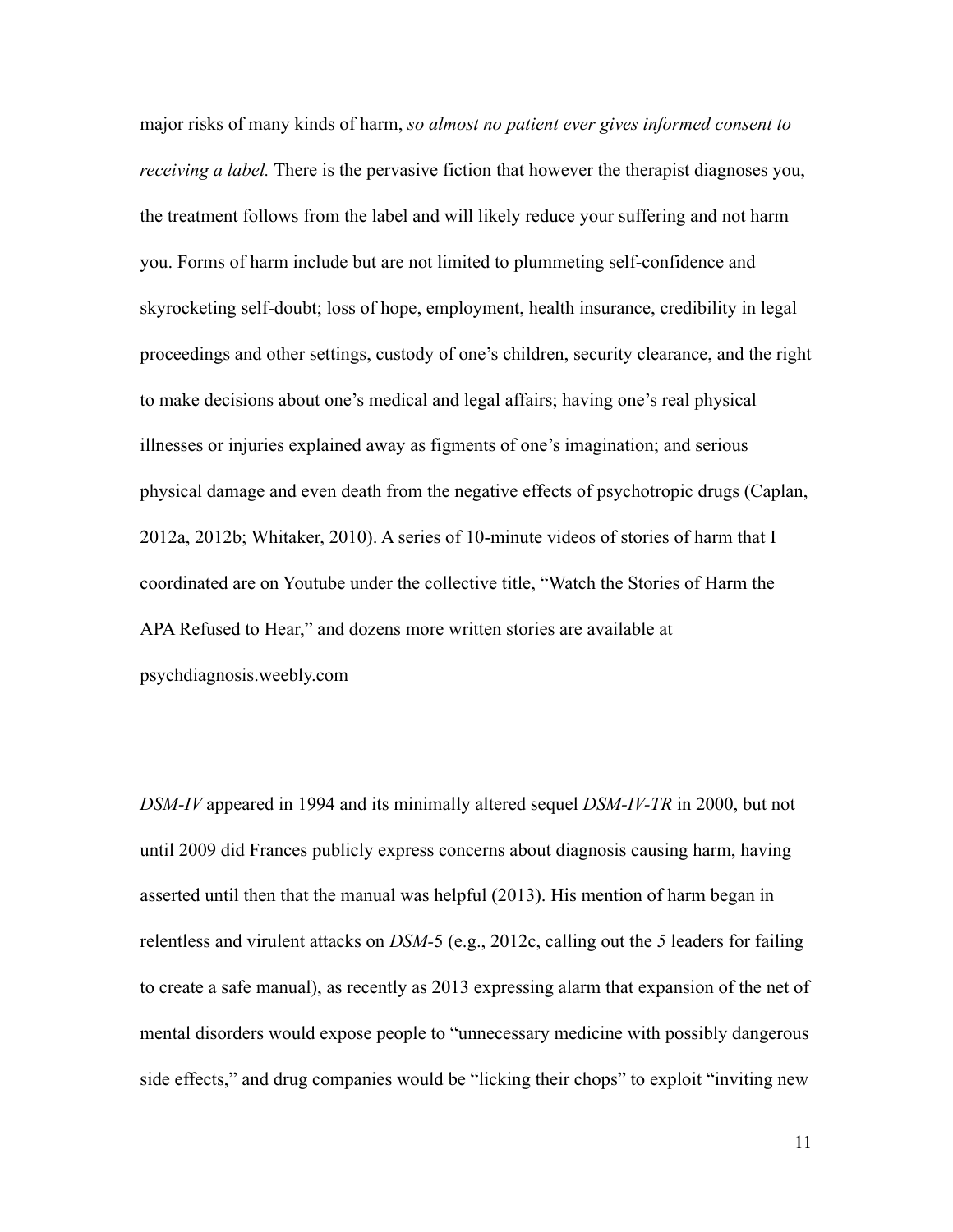major risks of many kinds of harm, *so almost no patient ever gives informed consent to receiving a label*. There is the pervasive fiction that however the therapist diagnoses you, the treatment follows from the label and will likely reduce your suffering and not harm you. Forms of harm include but are not limited to plummeting self-confidence and skyrocketing self-doubt; loss of hope, employment, health insurance, credibility in legal proceedings and other settings, custody of one's children, security clearance, and the right to make decisions about one's medical and legal affairs; having one's real physical illnesses or injuries explained away as figments of one's imagination; and serious physical damage and even death from the negative effects of psychotropic drugs (Caplan, 2012a, 2012b; Whitaker, 2010). A series of 10-minute videos of stories of harm that I coordinated are on Youtube under the collective title, "Watch the Stories of Harm the APA Refused to Hear," and dozens more written stories are available at psychdiagnosis.weebly.com

*DSM-IV* appeared in 1994 and its minimally altered sequel *DSM-IV-TR* in 2000, but not until 2009 did Frances publicly express concerns about diagnosis causing harm, having asserted until then that the manual was helpful (2013). His mention of harm began in relentless and virulent attacks on *DSM-*5 (e.g., 2012c, calling out the *5* leaders for failing to create a safe manual), as recently as 2013 expressing alarm that expansion of the net of mental disorders would expose people to "unnecessary medicine with possibly dangerous side effects," and drug companies would be "licking their chops" to exploit "inviting new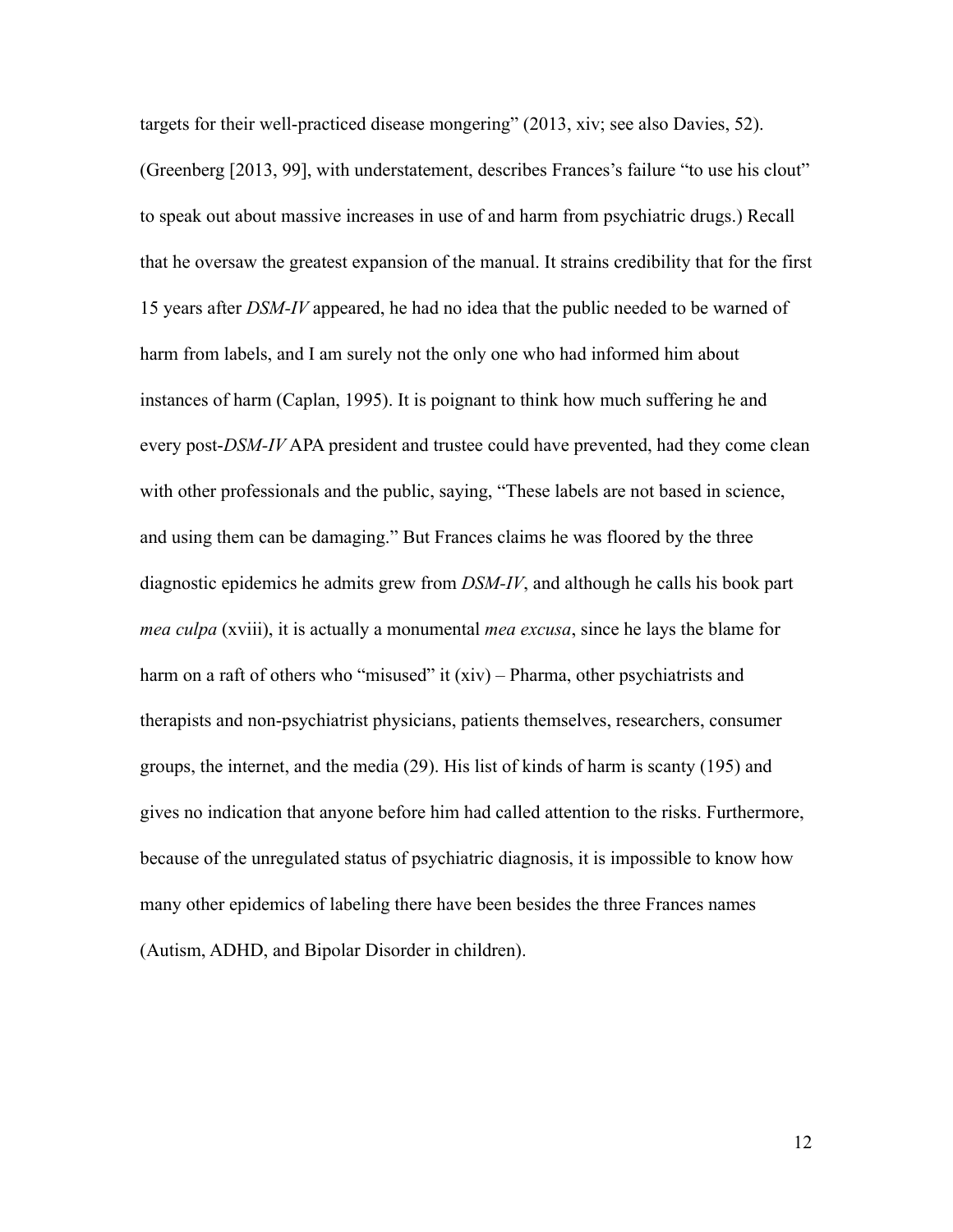targets for their well-practiced disease mongering" (2013, xiv; see also Davies, 52). (Greenberg [2013, 99], with understatement, describes Frances's failure "to use his clout" to speak out about massive increases in use of and harm from psychiatric drugs.) Recall that he oversaw the greatest expansion of the manual. It strains credibility that for the first 15 years after *DSM-IV* appeared, he had no idea that the public needed to be warned of harm from labels, and I am surely not the only one who had informed him about instances of harm (Caplan, 1995). It is poignant to think how much suffering he and every post-*DSM-IV* APA president and trustee could have prevented, had they come clean with other professionals and the public, saying, "These labels are not based in science, and using them can be damaging." But Frances claims he was floored by the three diagnostic epidemics he admits grew from *DSM-IV*, and although he calls his book part *mea culpa* (xviii), it is actually a monumental *mea excusa*, since he lays the blame for harm on a raft of others who "misused" it (xiv) – Pharma, other psychiatrists and therapists and non-psychiatrist physicians, patients themselves, researchers, consumer groups, the internet, and the media (29). His list of kinds of harm is scanty (195) and gives no indication that anyone before him had called attention to the risks. Furthermore, because of the unregulated status of psychiatric diagnosis, it is impossible to know how many other epidemics of labeling there have been besides the three Frances names (Autism, ADHD, and Bipolar Disorder in children).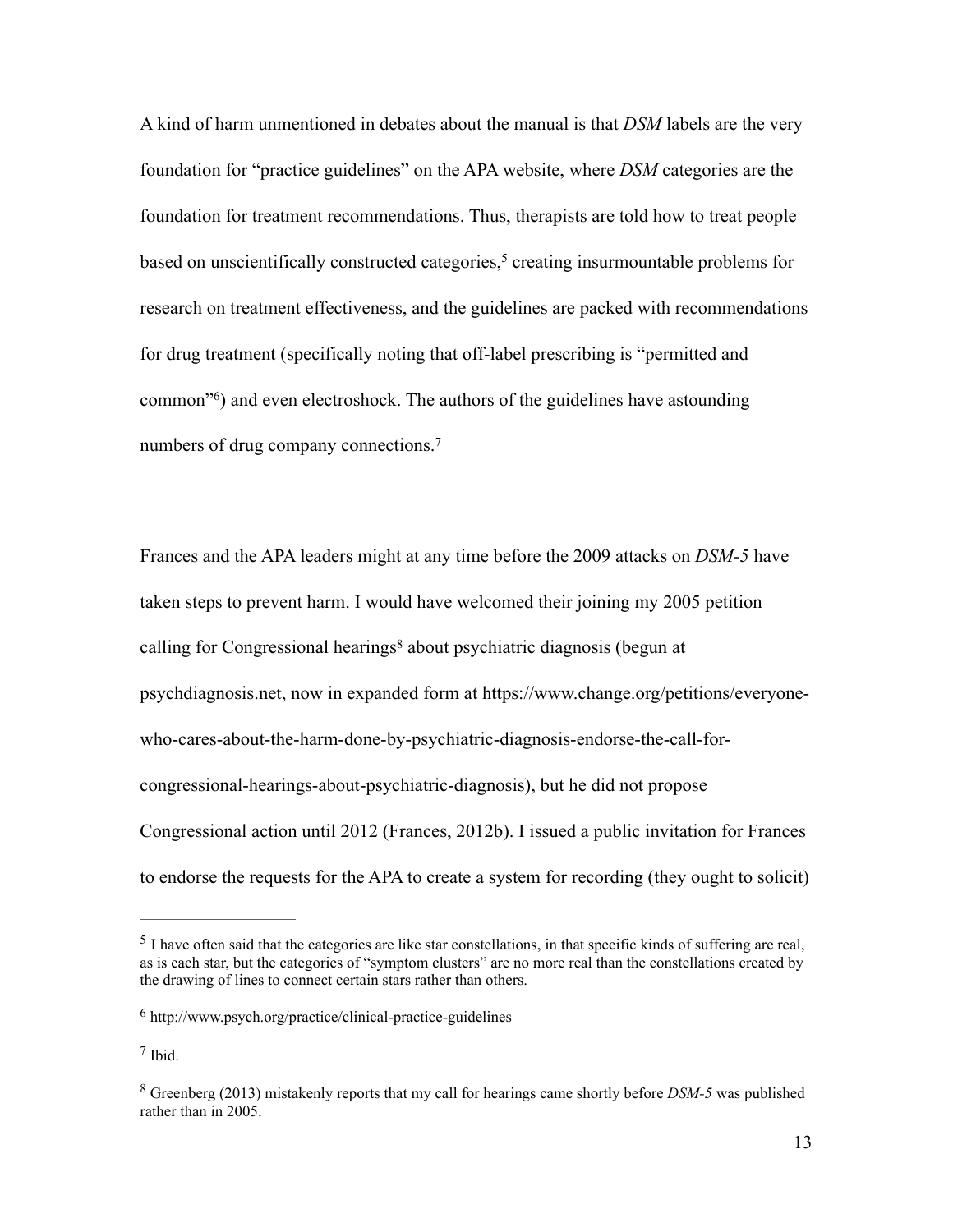A kind of harm unmentioned in debates about the manual is that *DSM* labels are the very foundation for "practice guidelines" on the APA website, where *DSM* categories are the foundation for treatment recommendations. Thus, therapists are told how to treat people based on unscientifically constructed categories,<sup>5</sup> creating insurmountable problems for research on treatment effectiveness, and the guidelines are packed with recommendations for drug treatment (specifically noting that off-label prescribing is "permitted and common<sup> $\degree$ </sup>) and even electroshock. The authors of the guidelines have astounding numbers of drug company connections.<sup>7</sup>

Frances and the APA leaders might at any time before the 2009 attacks on *DSM-5* have taken steps to prevent harm. I would have welcomed their joining my 2005 petition calling for Congressional hearings<sup>8</sup> about psychiatric diagnosis (begun at psychdiagnosis.net, now in expanded form at https://www.change.org/petitions/everyonewho-cares-about-the-harm-done-by-psychiatric-diagnosis-endorse-the-call-forcongressional-hearings-about-psychiatric-diagnosis), but he did not propose Congressional action until 2012 (Frances, 2012b). I issued a public invitation for Frances to endorse the requests for the APA to create a system for recording (they ought to solicit)

 $<sup>5</sup>$  I have often said that the categories are like star constellations, in that specific kinds of suffering are real,</sup> as is each star, but the categories of "symptom clusters" are no more real than the constellations created by the drawing of lines to connect certain stars rather than others.

 $6$  http://www.psych.org/practice/clinical-practice-guidelines

 $<sup>7</sup>$  Ibid.</sup>

Greenberg (2013) mistakenly reports that my call for hearings came shortly before *DSM-5* was published 8 rather than in 2005.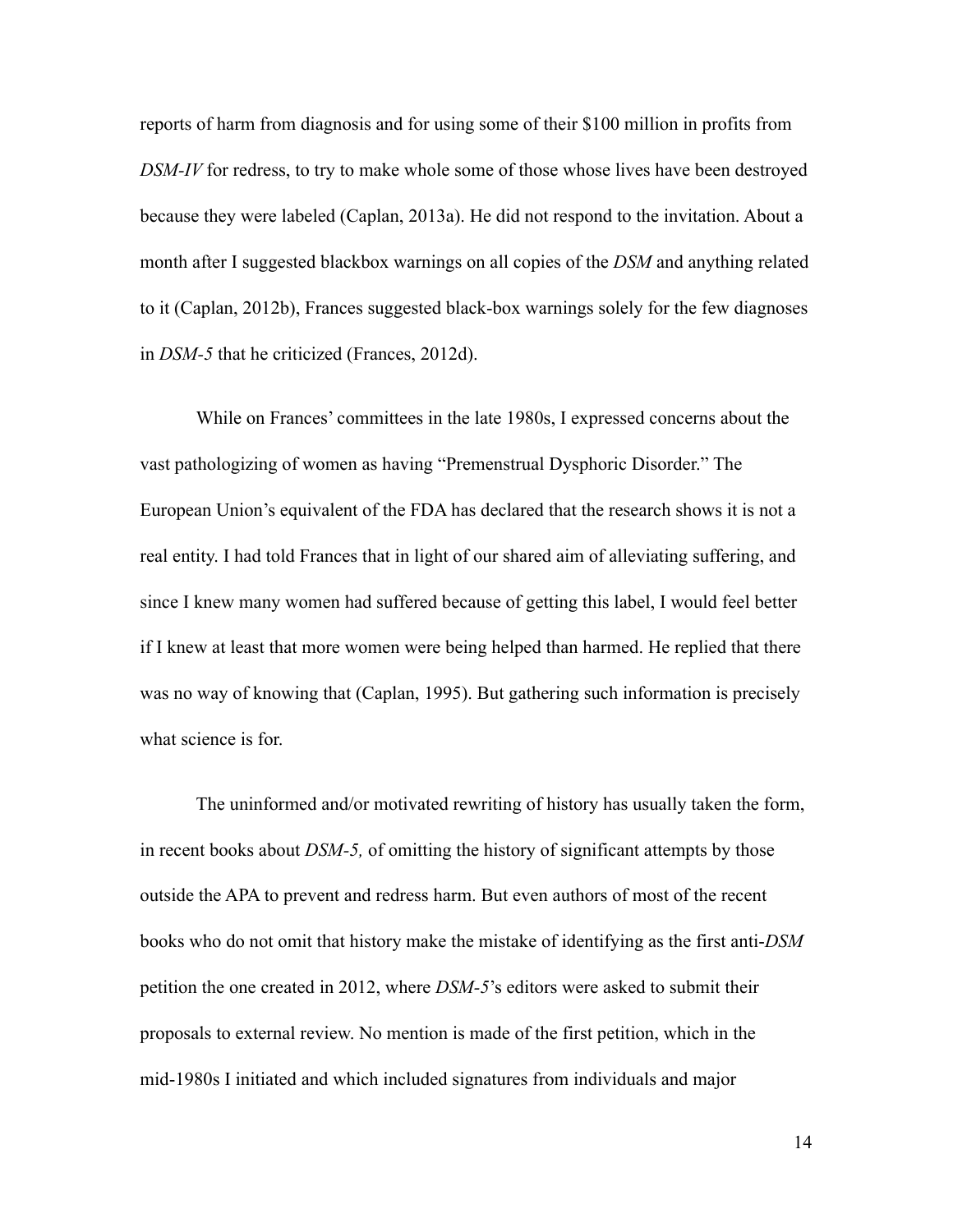reports of harm from diagnosis and for using some of their \$100 million in profits from *DSM-IV* for redress, to try to make whole some of those whose lives have been destroyed because they were labeled (Caplan, 2013a). He did not respond to the invitation. About a month after I suggested blackbox warnings on all copies of the *DSM* and anything related to it (Caplan, 2012b), Frances suggested black-box warnings solely for the few diagnoses in *DSM-5* that he criticized (Frances, 2012d).

While on Frances' committees in the late 1980s, I expressed concerns about the vast pathologizing of women as having "Premenstrual Dysphoric Disorder." The European Union's equivalent of the FDA has declared that the research shows it is not a real entity. I had told Frances that in light of our shared aim of alleviating suffering, and since I knew many women had suffered because of getting this label, I would feel better if I knew at least that more women were being helped than harmed. He replied that there was no way of knowing that (Caplan, 1995). But gathering such information is precisely what science is for.

 The uninformed and/or motivated rewriting of history has usually taken the form, in recent books about *DSM-5,* of omitting the history of significant attempts by those outside the APA to prevent and redress harm. But even authors of most of the recent books who do not omit that history make the mistake of identifying as the first anti-*DSM* petition the one created in 2012, where *DSM-5*'s editors were asked to submit their proposals to external review. No mention is made of the first petition, which in the mid-1980s I initiated and which included signatures from individuals and major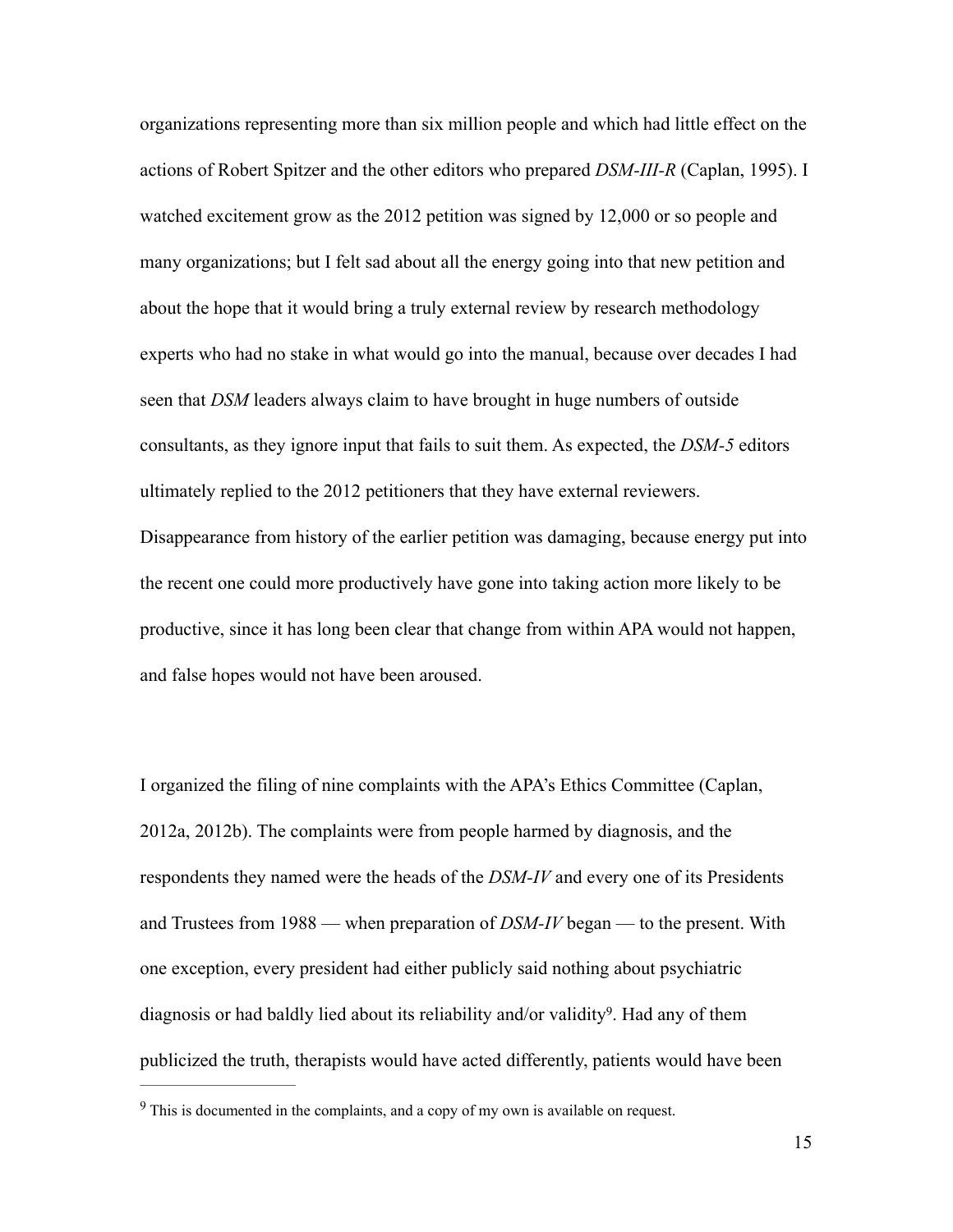organizations representing more than six million people and which had little effect on the actions of Robert Spitzer and the other editors who prepared *DSM-III-R* (Caplan, 1995). I watched excitement grow as the 2012 petition was signed by 12,000 or so people and many organizations; but I felt sad about all the energy going into that new petition and about the hope that it would bring a truly external review by research methodology experts who had no stake in what would go into the manual, because over decades I had seen that *DSM* leaders always claim to have brought in huge numbers of outside consultants, as they ignore input that fails to suit them. As expected, the *DSM-5* editors ultimately replied to the 2012 petitioners that they have external reviewers. Disappearance from history of the earlier petition was damaging, because energy put into the recent one could more productively have gone into taking action more likely to be productive, since it has long been clear that change from within APA would not happen, and false hopes would not have been aroused.

I organized the filing of nine complaints with the APA's Ethics Committee (Caplan, 2012a, 2012b). The complaints were from people harmed by diagnosis, and the respondents they named were the heads of the *DSM-IV* and every one of its Presidents and Trustees from 1988 — when preparation of *DSM-IV* began — to the present. With one exception, every president had either publicly said nothing about psychiatric diagnosis or had baldly lied about its reliability and/or validity<sup>9</sup>. Had any of them publicized the truth, therapists would have acted differently, patients would have been

 $9$  This is documented in the complaints, and a copy of my own is available on request.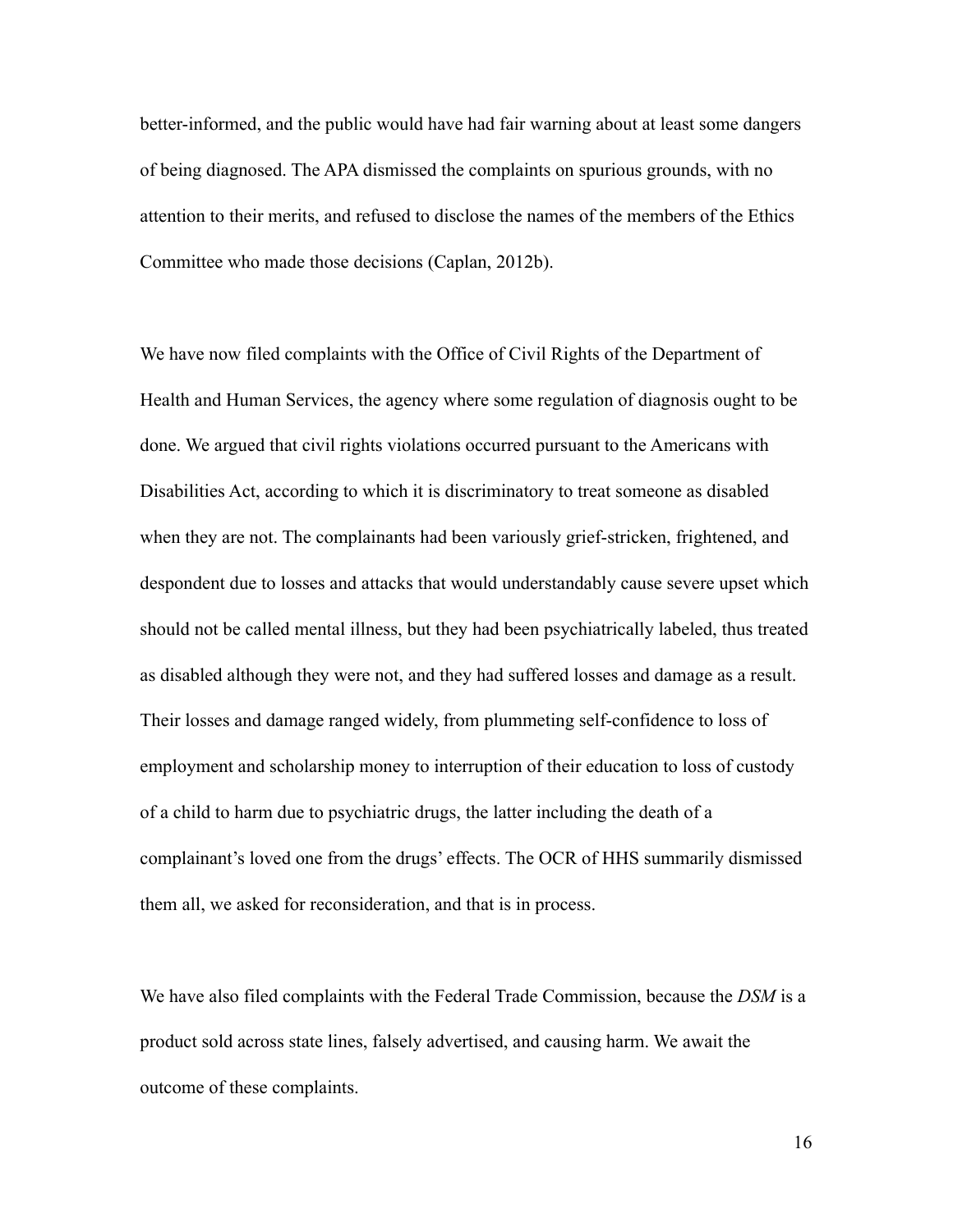better-informed, and the public would have had fair warning about at least some dangers of being diagnosed. The APA dismissed the complaints on spurious grounds, with no attention to their merits, and refused to disclose the names of the members of the Ethics Committee who made those decisions (Caplan, 2012b).

We have now filed complaints with the Office of Civil Rights of the Department of Health and Human Services, the agency where some regulation of diagnosis ought to be done. We argued that civil rights violations occurred pursuant to the Americans with Disabilities Act, according to which it is discriminatory to treat someone as disabled when they are not. The complainants had been variously grief-stricken, frightened, and despondent due to losses and attacks that would understandably cause severe upset which should not be called mental illness, but they had been psychiatrically labeled, thus treated as disabled although they were not, and they had suffered losses and damage as a result. Their losses and damage ranged widely, from plummeting self-confidence to loss of employment and scholarship money to interruption of their education to loss of custody of a child to harm due to psychiatric drugs, the latter including the death of a complainant's loved one from the drugs' effects. The OCR of HHS summarily dismissed them all, we asked for reconsideration, and that is in process.

We have also filed complaints with the Federal Trade Commission, because the *DSM* is a product sold across state lines, falsely advertised, and causing harm. We await the outcome of these complaints.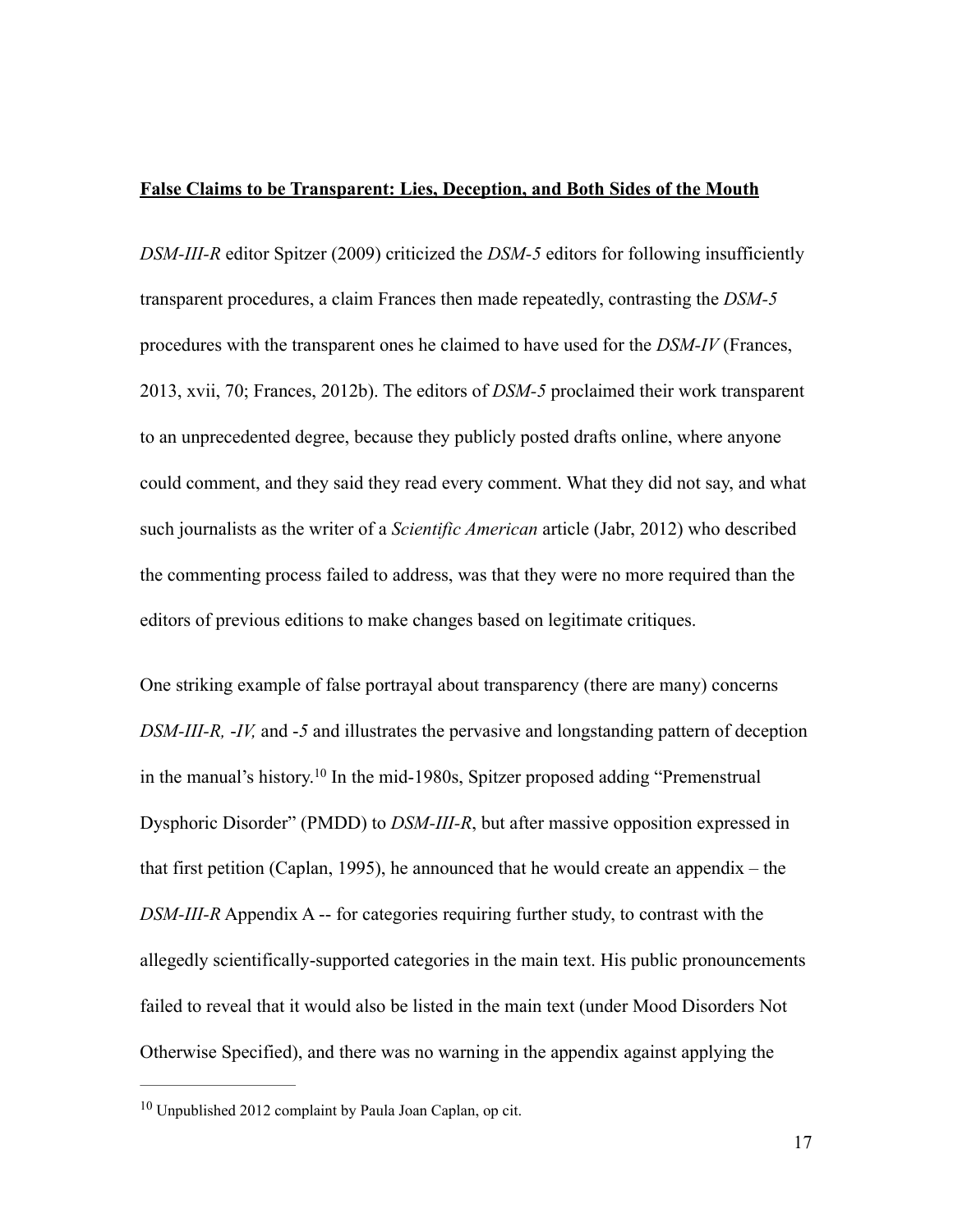## **False Claims to be Transparent: Lies, Deception, and Both Sides of the Mouth**

*DSM-III-R* editor Spitzer (2009) criticized the *DSM-5* editors for following insufficiently transparent procedures, a claim Frances then made repeatedly, contrasting the *DSM-5* procedures with the transparent ones he claimed to have used for the *DSM-IV* (Frances, 2013, xvii, 70; Frances, 2012b). The editors of *DSM-5* proclaimed their work transparent to an unprecedented degree, because they publicly posted drafts online, where anyone could comment, and they said they read every comment. What they did not say, and what such journalists as the writer of a *Scientific American* article (Jabr, 2012) who described the commenting process failed to address, was that they were no more required than the editors of previous editions to make changes based on legitimate critiques.

One striking example of false portrayal about transparency (there are many) concerns *DSM-III-R,* -*IV,* and -*5* and illustrates the pervasive and longstanding pattern of deception in the manual's history.<sup>10</sup> In the mid-1980s, Spitzer proposed adding "Premenstrual Dysphoric Disorder" (PMDD) to *DSM-III-R*, but after massive opposition expressed in that first petition (Caplan, 1995), he announced that he would create an appendix – the *DSM-III-R* Appendix A -- for categories requiring further study, to contrast with the allegedly scientifically-supported categories in the main text. His public pronouncements failed to reveal that it would also be listed in the main text (under Mood Disorders Not Otherwise Specified), and there was no warning in the appendix against applying the

 $10$  Unpublished 2012 complaint by Paula Joan Caplan, op cit.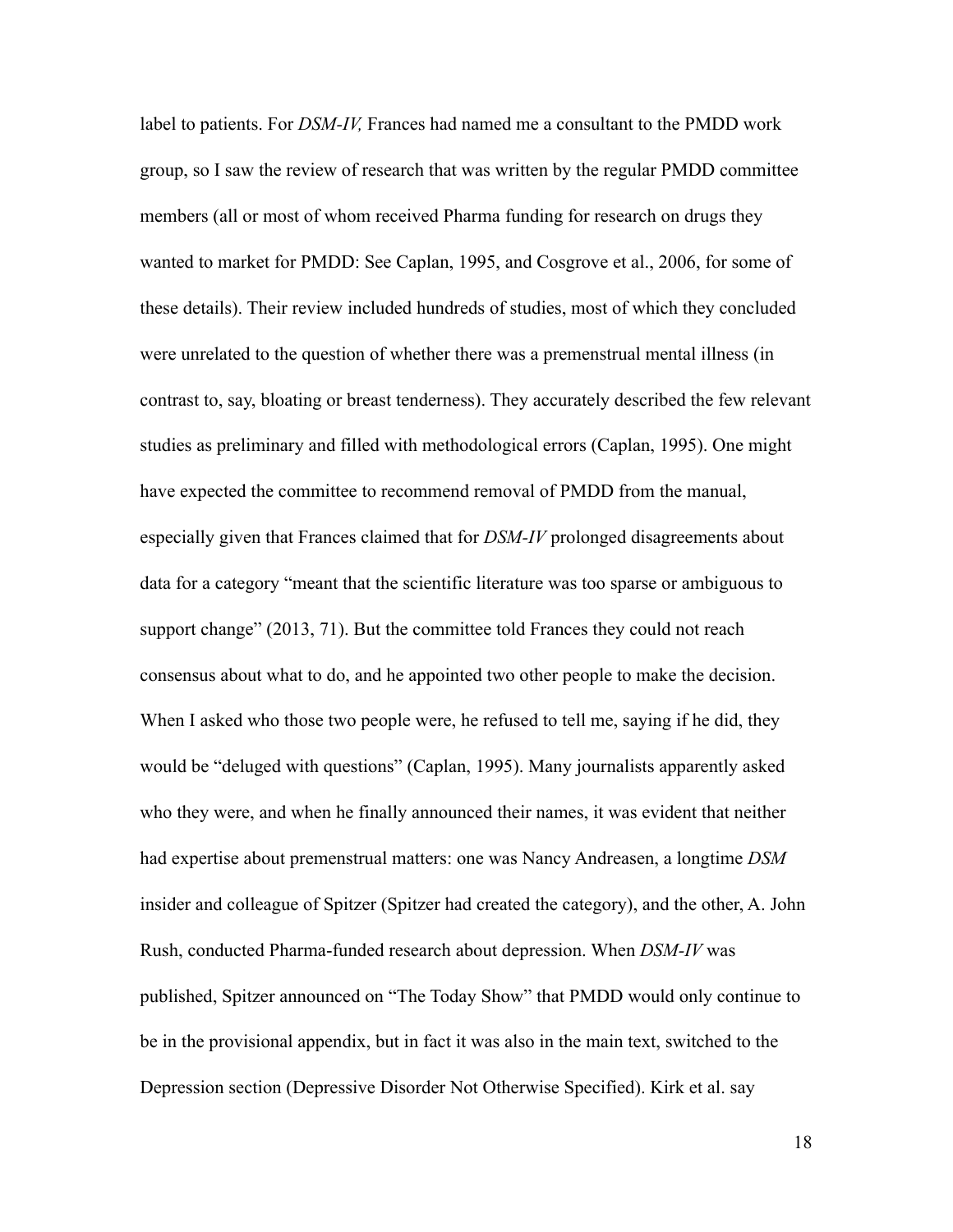label to patients. For *DSM-IV,* Frances had named me a consultant to the PMDD work group, so I saw the review of research that was written by the regular PMDD committee members (all or most of whom received Pharma funding for research on drugs they wanted to market for PMDD: See Caplan, 1995, and Cosgrove et al., 2006, for some of these details). Their review included hundreds of studies, most of which they concluded were unrelated to the question of whether there was a premenstrual mental illness (in contrast to, say, bloating or breast tenderness). They accurately described the few relevant studies as preliminary and filled with methodological errors (Caplan, 1995). One might have expected the committee to recommend removal of PMDD from the manual, especially given that Frances claimed that for *DSM-IV* prolonged disagreements about data for a category "meant that the scientific literature was too sparse or ambiguous to support change" (2013, 71). But the committee told Frances they could not reach consensus about what to do, and he appointed two other people to make the decision. When I asked who those two people were, he refused to tell me, saying if he did, they would be "deluged with questions" (Caplan, 1995). Many journalists apparently asked who they were, and when he finally announced their names, it was evident that neither had expertise about premenstrual matters: one was Nancy Andreasen, a longtime *DSM* insider and colleague of Spitzer (Spitzer had created the category), and the other, A. John Rush, conducted Pharma-funded research about depression. When *DSM-IV* was published, Spitzer announced on "The Today Show" that PMDD would only continue to be in the provisional appendix, but in fact it was also in the main text, switched to the Depression section (Depressive Disorder Not Otherwise Specified). Kirk et al. say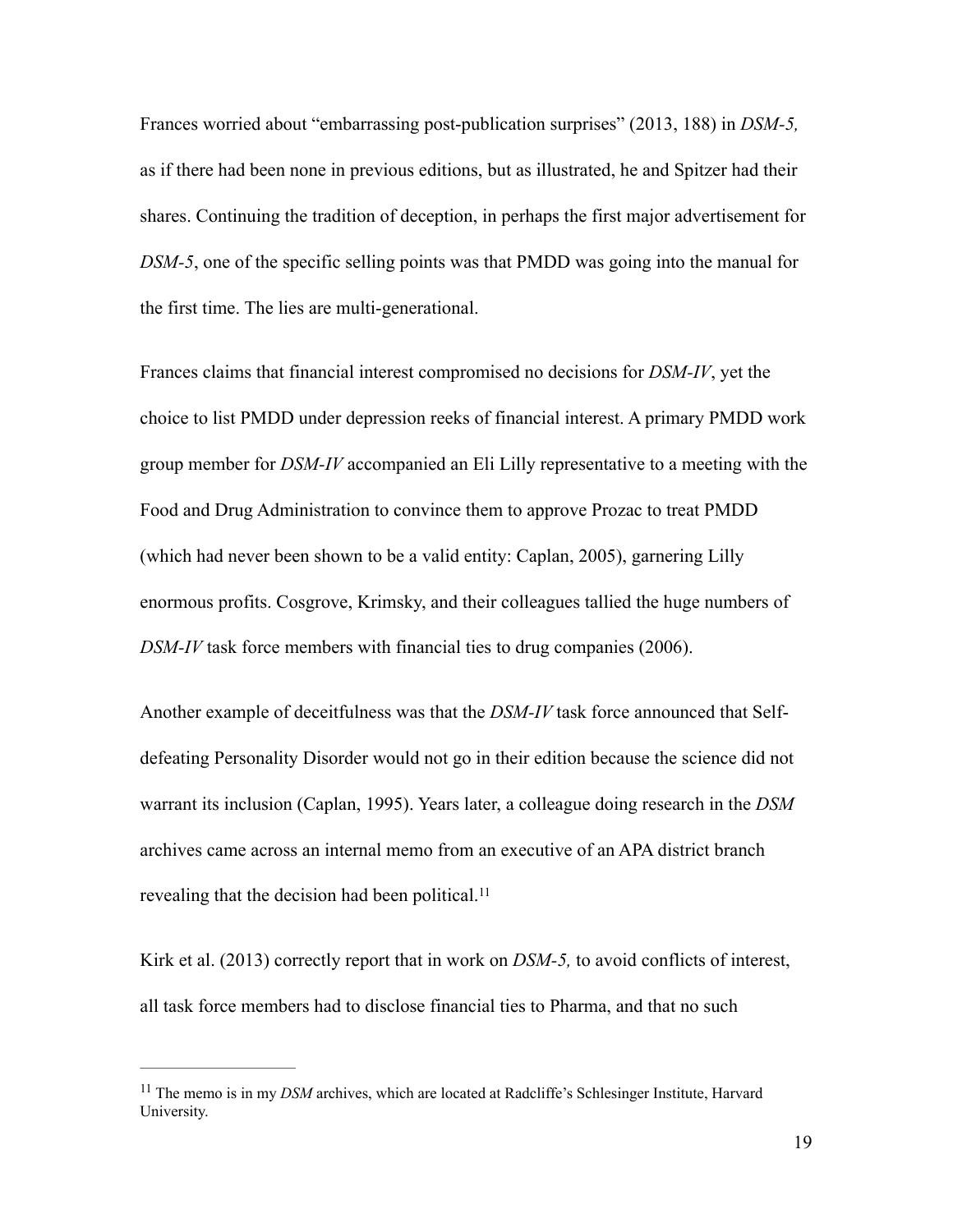Frances worried about "embarrassing post-publication surprises" (2013, 188) in *DSM-5,*  as if there had been none in previous editions, but as illustrated, he and Spitzer had their shares. Continuing the tradition of deception, in perhaps the first major advertisement for *DSM-5*, one of the specific selling points was that PMDD was going into the manual for the first time. The lies are multi-generational.

Frances claims that financial interest compromised no decisions for *DSM-IV*, yet the choice to list PMDD under depression reeks of financial interest. A primary PMDD work group member for *DSM-IV* accompanied an Eli Lilly representative to a meeting with the Food and Drug Administration to convince them to approve Prozac to treat PMDD (which had never been shown to be a valid entity: Caplan, 2005), garnering Lilly enormous profits. Cosgrove, Krimsky, and their colleagues tallied the huge numbers of *DSM-IV* task force members with financial ties to drug companies (2006).

Another example of deceitfulness was that the *DSM-IV* task force announced that Selfdefeating Personality Disorder would not go in their edition because the science did not warrant its inclusion (Caplan, 1995). Years later, a colleague doing research in the *DSM* archives came across an internal memo from an executive of an APA district branch revealing that the decision had been political.<sup>11</sup>

Kirk et al. (2013) correctly report that in work on *DSM-5,* to avoid conflicts of interest, all task force members had to disclose financial ties to Pharma, and that no such

<sup>&</sup>lt;sup>11</sup> The memo is in my *DSM* archives, which are located at Radcliffe's Schlesinger Institute, Harvard University.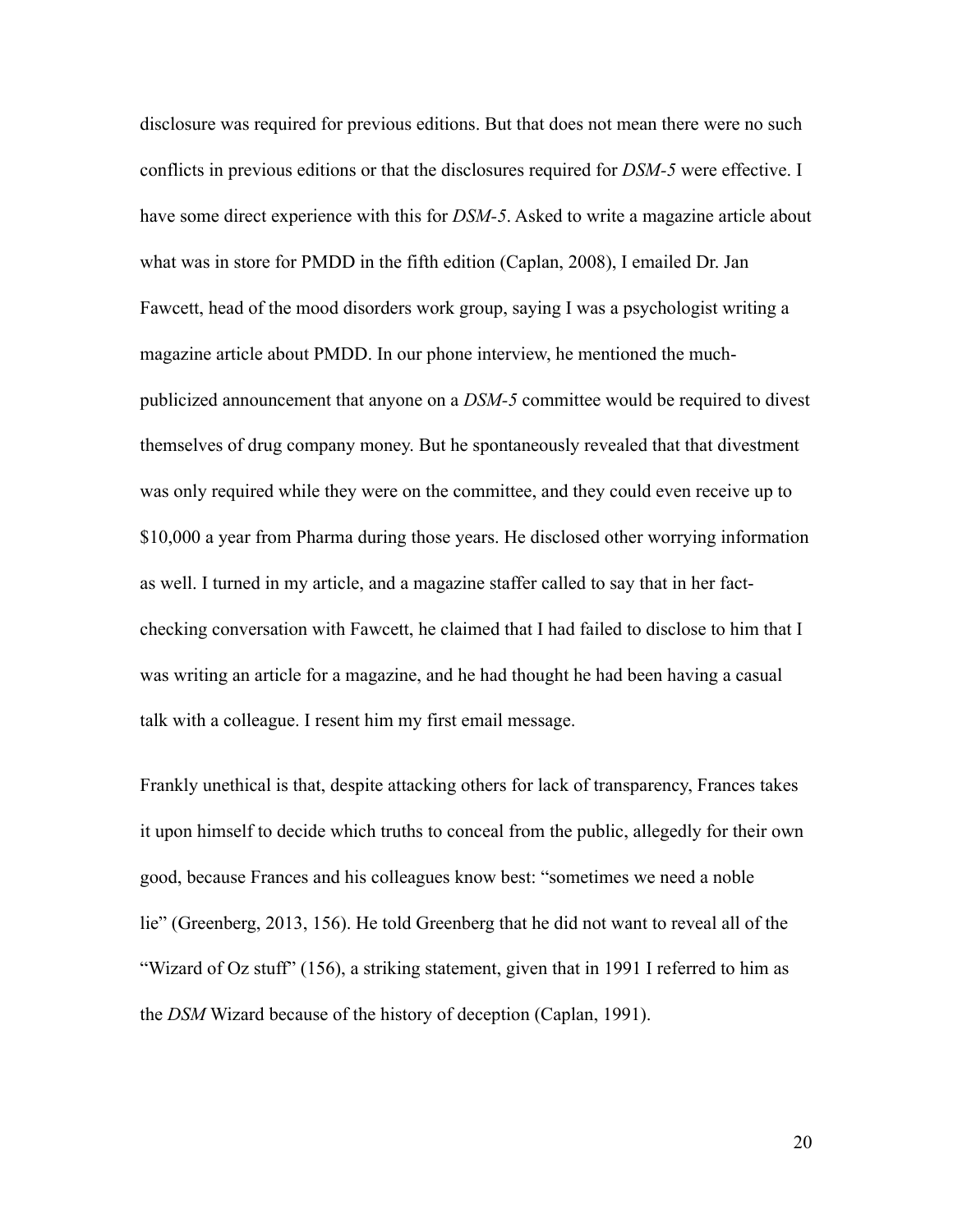disclosure was required for previous editions. But that does not mean there were no such conflicts in previous editions or that the disclosures required for *DSM-5* were effective. I have some direct experience with this for *DSM-5*. Asked to write a magazine article about what was in store for PMDD in the fifth edition (Caplan, 2008), I emailed Dr. Jan Fawcett, head of the mood disorders work group, saying I was a psychologist writing a magazine article about PMDD. In our phone interview, he mentioned the muchpublicized announcement that anyone on a *DSM-5* committee would be required to divest themselves of drug company money. But he spontaneously revealed that that divestment was only required while they were on the committee, and they could even receive up to \$10,000 a year from Pharma during those years. He disclosed other worrying information as well. I turned in my article, and a magazine staffer called to say that in her factchecking conversation with Fawcett, he claimed that I had failed to disclose to him that I was writing an article for a magazine, and he had thought he had been having a casual talk with a colleague. I resent him my first email message.

Frankly unethical is that, despite attacking others for lack of transparency, Frances takes it upon himself to decide which truths to conceal from the public, allegedly for their own good, because Frances and his colleagues know best: "sometimes we need a noble lie" (Greenberg, 2013, 156). He told Greenberg that he did not want to reveal all of the "Wizard of Oz stuff" (156), a striking statement, given that in 1991 I referred to him as the *DSM* Wizard because of the history of deception (Caplan, 1991).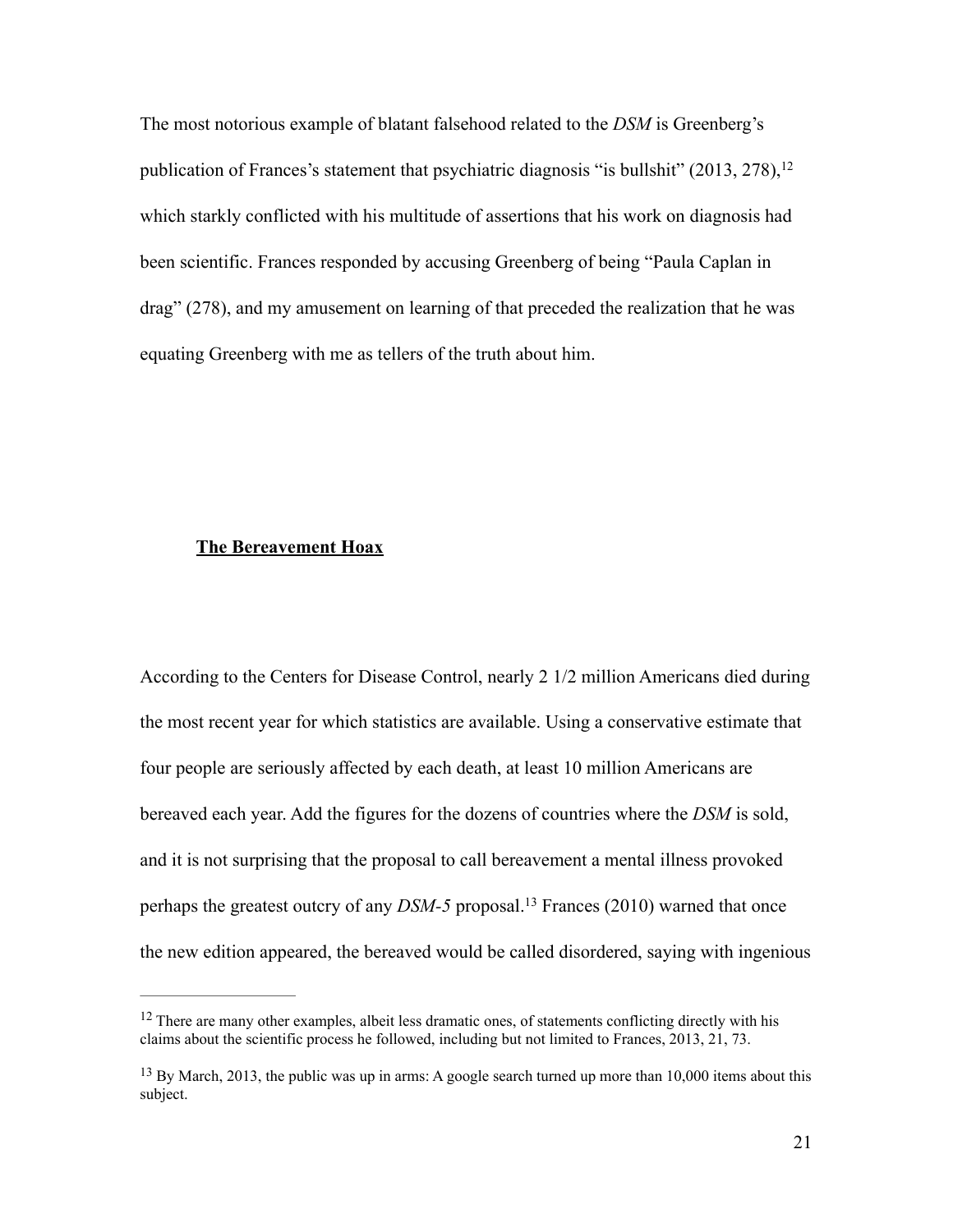The most notorious example of blatant falsehood related to the *DSM* is Greenberg's publication of Frances's statement that psychiatric diagnosis "is bullshit" (2013, 278),<sup>12</sup> which starkly conflicted with his multitude of assertions that his work on diagnosis had been scientific. Frances responded by accusing Greenberg of being "Paula Caplan in drag" (278), and my amusement on learning of that preceded the realization that he was equating Greenberg with me as tellers of the truth about him.

## **The Bereavement Hoax**

According to the Centers for Disease Control, nearly 2 1/2 million Americans died during the most recent year for which statistics are available. Using a conservative estimate that four people are seriously affected by each death, at least 10 million Americans are bereaved each year. Add the figures for the dozens of countries where the *DSM* is sold, and it is not surprising that the proposal to call bereavement a mental illness provoked perhaps the greatest outcry of any *DSM-5* proposal.<sup>13</sup> Frances (2010) warned that once the new edition appeared, the bereaved would be called disordered, saying with ingenious

<sup>&</sup>lt;sup>12</sup> There are many other examples, albeit less dramatic ones, of statements conflicting directly with his claims about the scientific process he followed, including but not limited to Frances, 2013, 21, 73.

 $^{13}$  By March, 2013, the public was up in arms: A google search turned up more than 10,000 items about this subject.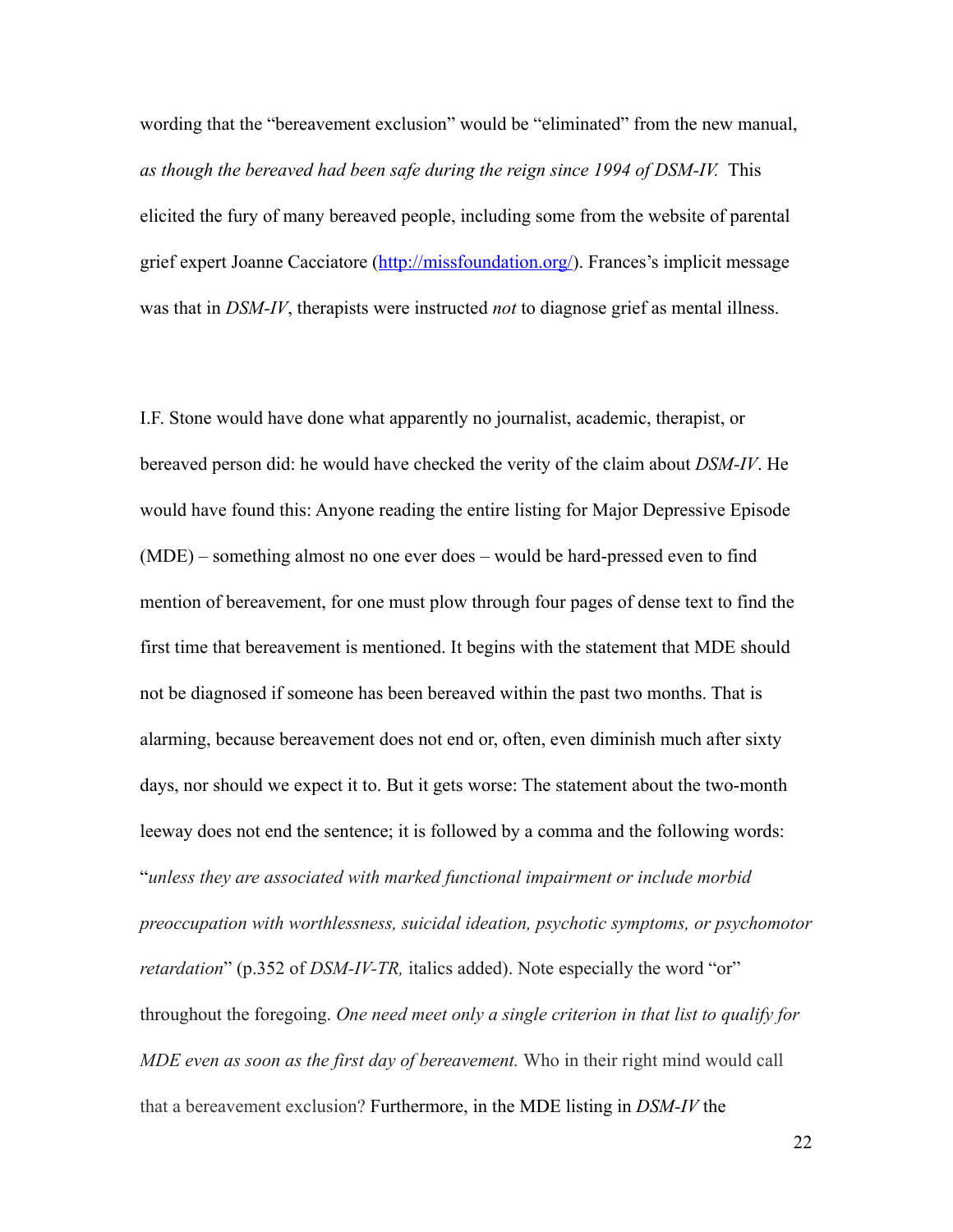wording that the "bereavement exclusion" would be "eliminated" from the new manual, *as though the bereaved had been safe during the reign since 1994 of DSM-IV.* This elicited the fury of many bereaved people, including some from the website of parental grief expert Joanne Cacciatore (http://missfoundation.org/). Frances's implicit message was that in *DSM-IV*, therapists were instructed *not* to diagnose grief as mental illness.

I.F. Stone would have done what apparently no journalist, academic, therapist, or bereaved person did: he would have checked the verity of the claim about *DSM-IV*. He would have found this: Anyone reading the entire listing for Major Depressive Episode (MDE) – something almost no one ever does – would be hard-pressed even to find mention of bereavement, for one must plow through four pages of dense text to find the first time that bereavement is mentioned. It begins with the statement that MDE should not be diagnosed if someone has been bereaved within the past two months. That is alarming, because bereavement does not end or, often, even diminish much after sixty days, nor should we expect it to. But it gets worse: The statement about the two-month leeway does not end the sentence; it is followed by a comma and the following words: "*unless they are associated with marked functional impairment or include morbid preoccupation with worthlessness, suicidal ideation, psychotic symptoms, or psychomotor retardation*" (p.352 of *DSM-IV-TR*, italics added). Note especially the word "or" throughout the foregoing. *One need meet only a single criterion in that list to qualify for MDE even as soon as the first day of bereavement.* Who in their right mind would call that a bereavement exclusion? Furthermore, in the MDE listing in *DSM-IV* the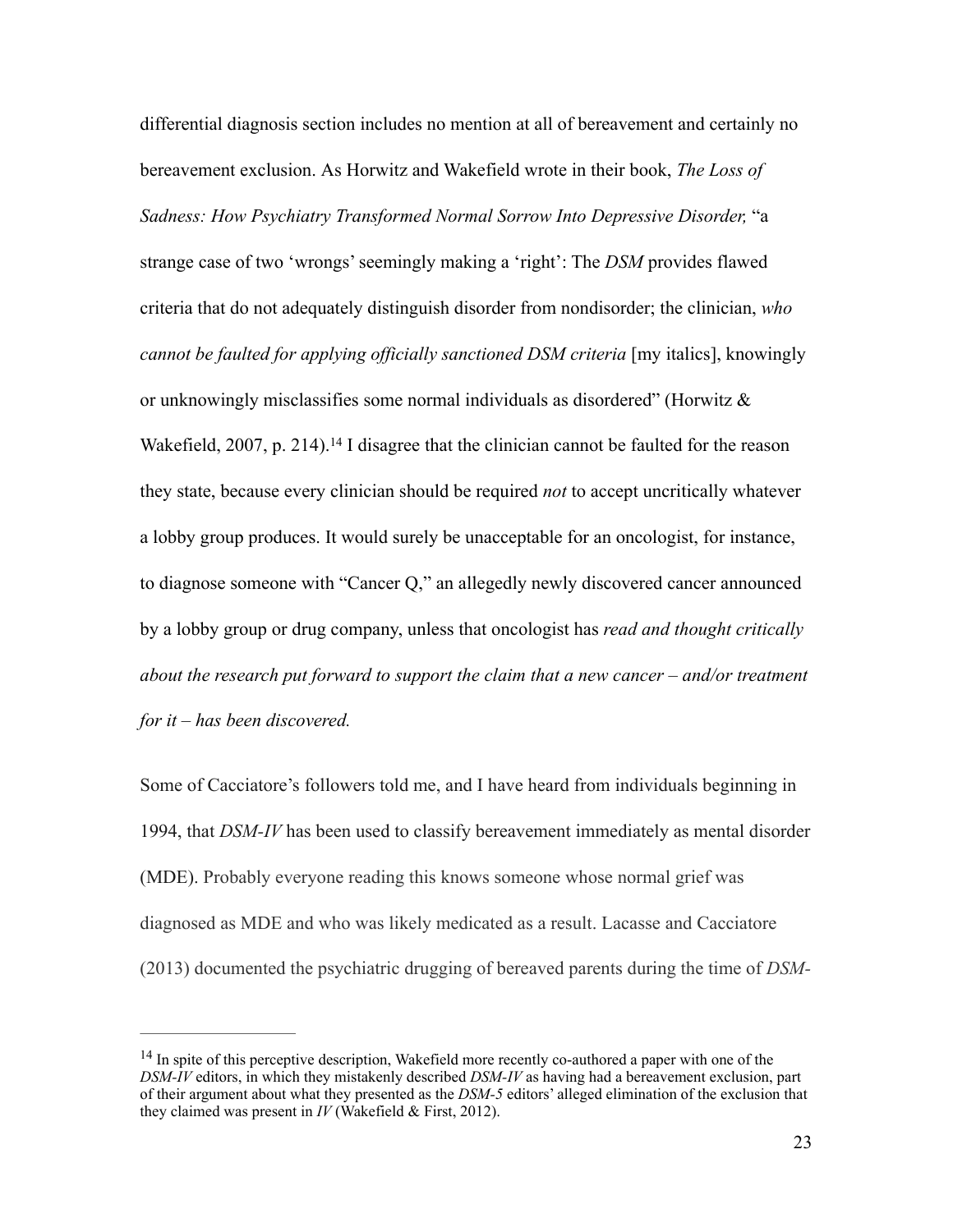differential diagnosis section includes no mention at all of bereavement and certainly no bereavement exclusion. As Horwitz and Wakefield wrote in their book, *The Loss of*  Sadness: How Psychiatry Transformed Normal Sorrow Into Depressive Disorder, "a strange case of two 'wrongs' seemingly making a 'right': The *DSM* provides flawed criteria that do not adequately distinguish disorder from nondisorder; the clinician, *who cannot be faulted for applying officially sanctioned DSM criteria* [my italics], knowingly or unknowingly misclassifies some normal individuals as disordered" (Horwitz  $\&$ Wakefield,  $2007$ , p. 214).<sup>14</sup> I disagree that the clinician cannot be faulted for the reason they state, because every clinician should be required *not* to accept uncritically whatever a lobby group produces. It would surely be unacceptable for an oncologist, for instance, to diagnose someone with "Cancer Q," an allegedly newly discovered cancer announced by a lobby group or drug company, unless that oncologist has *read and thought critically about the research put forward to support the claim that a new cancer – and/or treatment for it – has been discovered.*

Some of Cacciatore's followers told me, and I have heard from individuals beginning in 1994, that *DSM-IV* has been used to classify bereavement immediately as mental disorder (MDE). Probably everyone reading this knows someone whose normal grief was diagnosed as MDE and who was likely medicated as a result. Lacasse and Cacciatore (2013) documented the psychiatric drugging of bereaved parents during the time of *DSM-*

 $14$  In spite of this perceptive description, Wakefield more recently co-authored a paper with one of the *DSM-IV* editors, in which they mistakenly described *DSM-IV* as having had a bereavement exclusion, part of their argument about what they presented as the *DSM-5* editors' alleged elimination of the exclusion that they claimed was present in *IV* (Wakefield & First, 2012).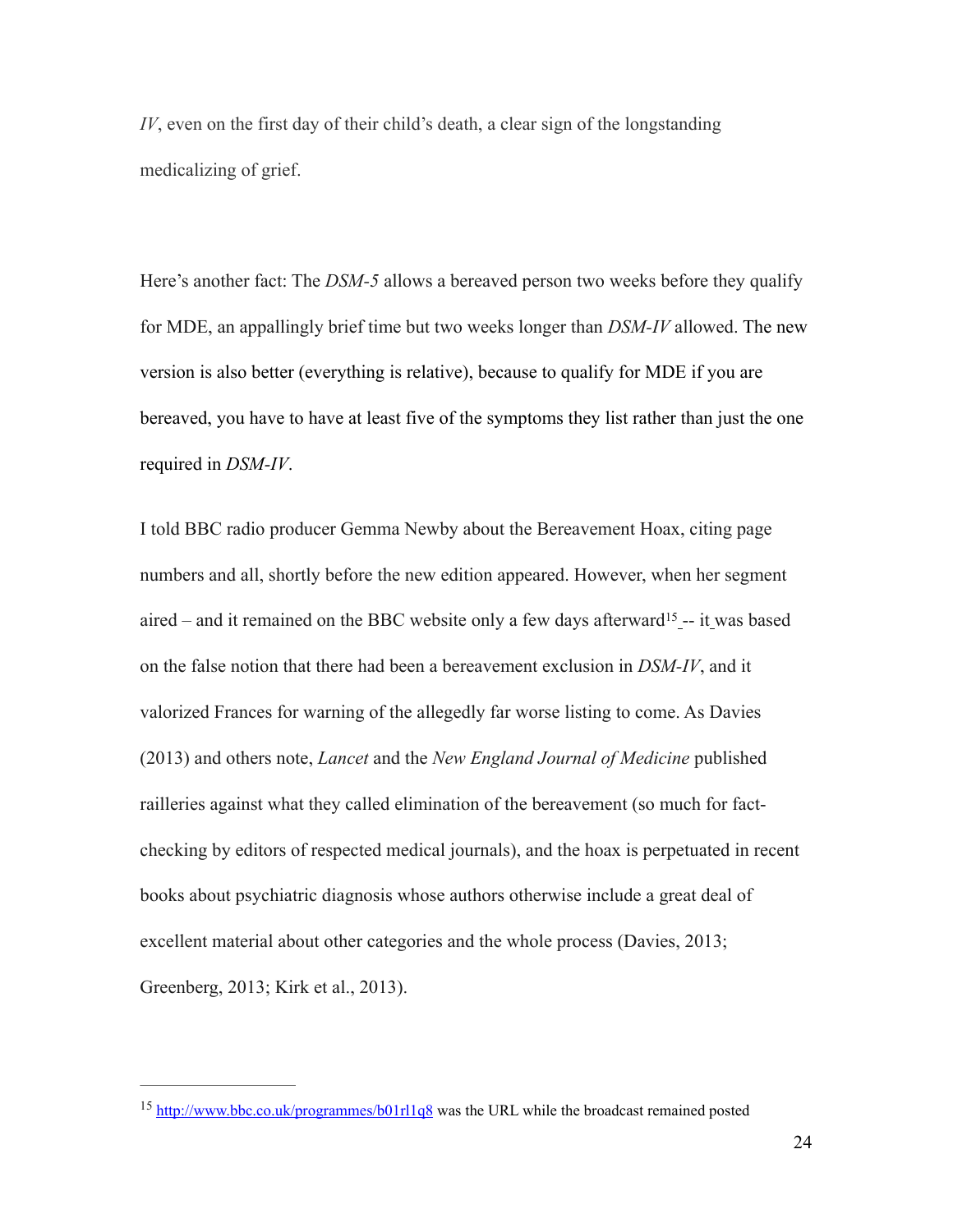*IV*, even on the first day of their child's death, a clear sign of the longstanding medicalizing of grief.

Here's another fact: The *DSM-5* allows a bereaved person two weeks before they qualify for MDE, an appallingly brief time but two weeks longer than *DSM-IV* allowed. The new version is also better (everything is relative), because to qualify for MDE if you are bereaved, you have to have at least five of the symptoms they list rather than just the one required in *DSM-IV*.

I told BBC radio producer Gemma Newby about the Bereavement Hoax, citing page numbers and all, shortly before the new edition appeared. However, when her segment aired – and it remained on the BBC website only a few days afterward<sup>15</sup>-- it was based on the false notion that there had been a bereavement exclusion in *DSM-IV*, and it valorized Frances for warning of the allegedly far worse listing to come. As Davies (2013) and others note, *Lancet* and the *New England Journal of Medicine* published railleries against what they called elimination of the bereavement (so much for factchecking by editors of respected medical journals), and the hoax is perpetuated in recent books about psychiatric diagnosis whose authors otherwise include a great deal of excellent material about other categories and the whole process (Davies, 2013; Greenberg, 2013; Kirk et al., 2013).

<sup>&</sup>lt;sup>15</sup> http://www.bbc.co.uk/programmes/b01rl1q8 was the URL while the broadcast remained posted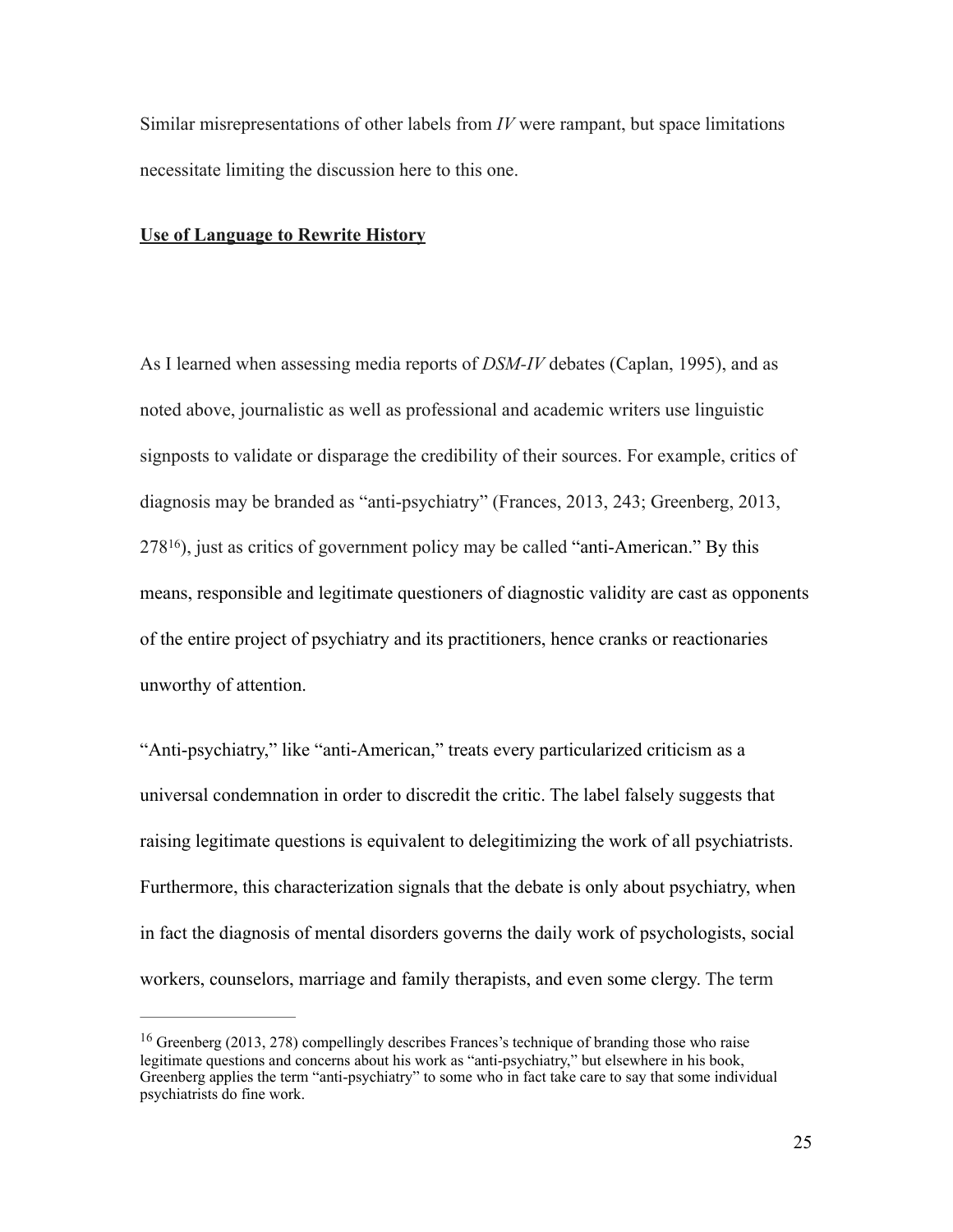Similar misrepresentations of other labels from *IV* were rampant, but space limitations necessitate limiting the discussion here to this one.

## **Use of Language to Rewrite History**

As I learned when assessing media reports of *DSM-IV* debates (Caplan, 1995), and as noted above, journalistic as well as professional and academic writers use linguistic signposts to validate or disparage the credibility of their sources. For example, critics of diagnosis may be branded as "anti-psychiatry" (Frances, 2013, 243; Greenberg, 2013,  $278^{16}$ ), just as critics of government policy may be called "anti-American." By this means, responsible and legitimate questioners of diagnostic validity are cast as opponents of the entire project of psychiatry and its practitioners, hence cranks or reactionaries unworthy of attention.

"Anti-psychiatry," like "anti-American," treats every particularized criticism as a universal condemnation in order to discredit the critic. The label falsely suggests that raising legitimate questions is equivalent to delegitimizing the work of all psychiatrists. Furthermore, this characterization signals that the debate is only about psychiatry, when in fact the diagnosis of mental disorders governs the daily work of psychologists, social workers, counselors, marriage and family therapists, and even some clergy. The term

 $16$  Greenberg (2013, 278) compellingly describes Frances's technique of branding those who raise legitimate questions and concerns about his work as "anti-psychiatry," but elsewhere in his book, Greenberg applies the term "anti-psychiatry" to some who in fact take care to say that some individual psychiatrists do fine work.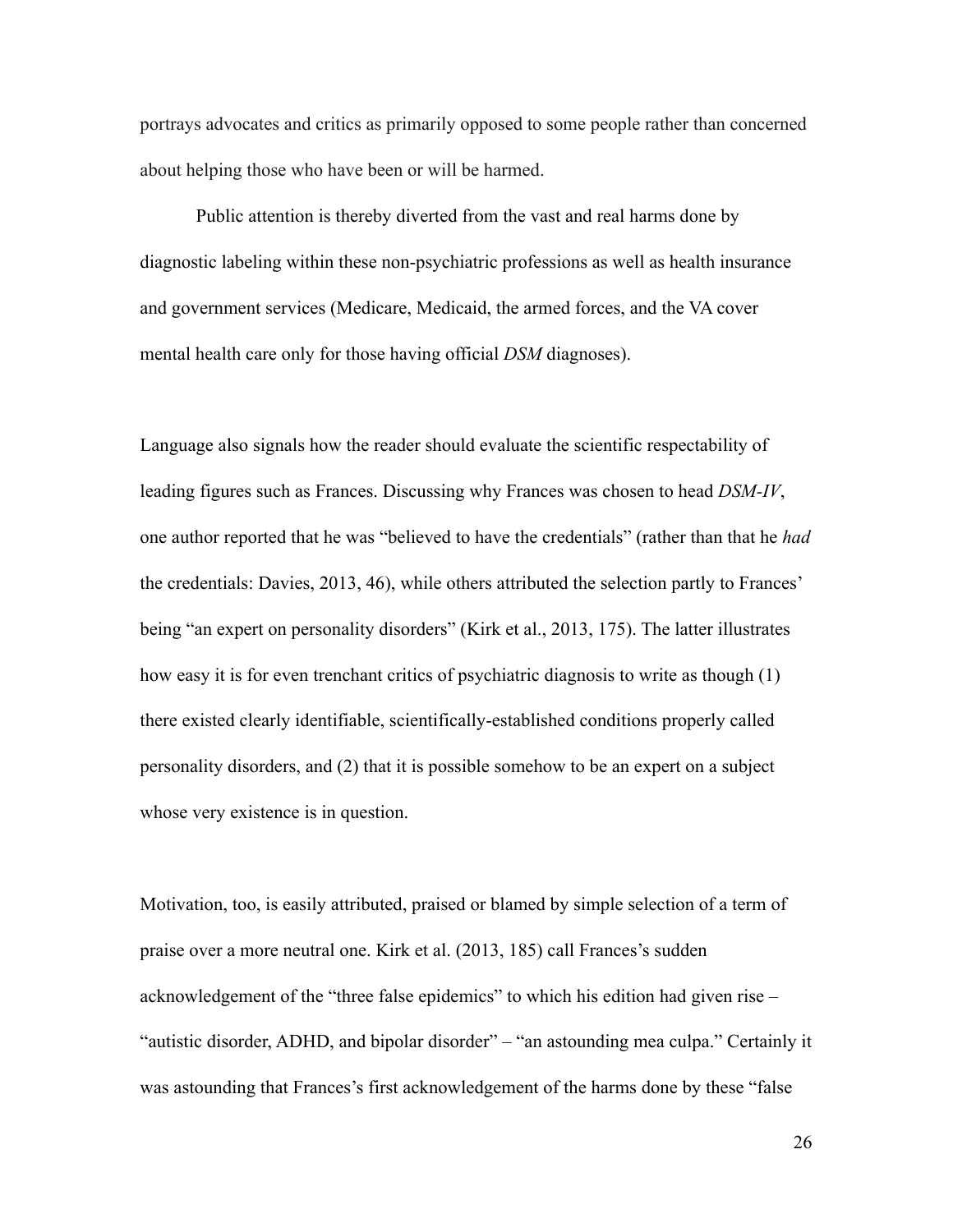portrays advocates and critics as primarily opposed to some people rather than concerned about helping those who have been or will be harmed.

Public attention is thereby diverted from the vast and real harms done by diagnostic labeling within these non-psychiatric professions as well as health insurance and government services (Medicare, Medicaid, the armed forces, and the VA cover mental health care only for those having official *DSM* diagnoses).

Language also signals how the reader should evaluate the scientific respectability of leading figures such as Frances. Discussing why Frances was chosen to head *DSM-IV*, one author reported that he was "believed to have the credentials" (rather than that he *had* the credentials: Davies, 2013, 46), while others attributed the selection partly to Frances' being "an expert on personality disorders" (Kirk et al., 2013, 175). The latter illustrates how easy it is for even trenchant critics of psychiatric diagnosis to write as though (1) there existed clearly identifiable, scientifically-established conditions properly called personality disorders, and (2) that it is possible somehow to be an expert on a subject whose very existence is in question.

Motivation, too, is easily attributed, praised or blamed by simple selection of a term of praise over a more neutral one. Kirk et al. (2013, 185) call Frances's sudden acknowledgement of the "three false epidemics" to which his edition had given rise – "autistic disorder, ADHD, and bipolar disorder" – "an astounding mea culpa." Certainly it was astounding that Frances's first acknowledgement of the harms done by these "false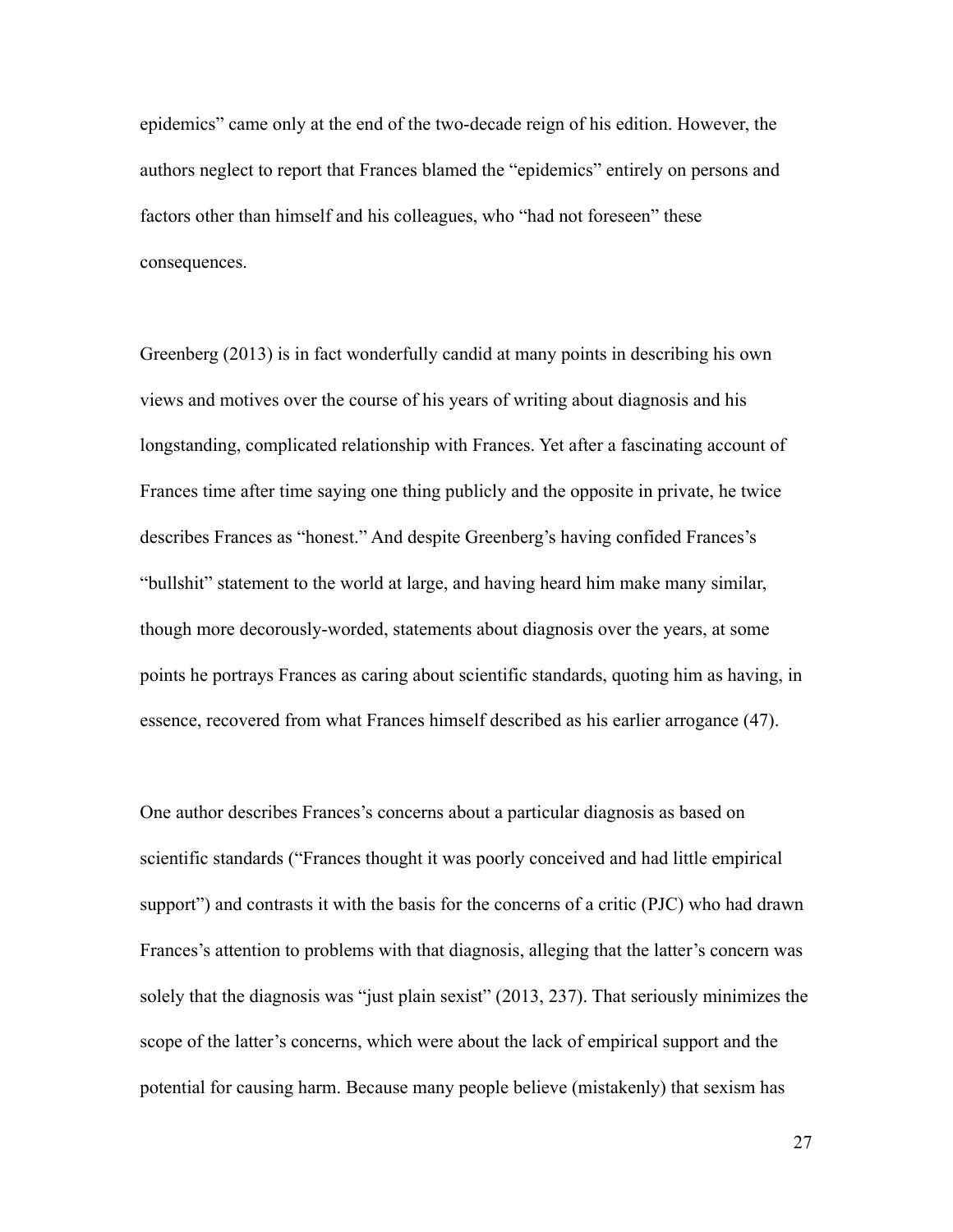epidemics" came only at the end of the two-decade reign of his edition. However, the authors neglect to report that Frances blamed the "epidemics" entirely on persons and factors other than himself and his colleagues, who "had not foreseen" these consequences.

Greenberg (2013) is in fact wonderfully candid at many points in describing his own views and motives over the course of his years of writing about diagnosis and his longstanding, complicated relationship with Frances. Yet after a fascinating account of Frances time after time saying one thing publicly and the opposite in private, he twice describes Frances as "honest." And despite Greenberg's having confided Frances's "bullshit" statement to the world at large, and having heard him make many similar, though more decorously-worded, statements about diagnosis over the years, at some points he portrays Frances as caring about scientific standards, quoting him as having, in essence, recovered from what Frances himself described as his earlier arrogance (47).

One author describes Frances's concerns about a particular diagnosis as based on scientific standards ("Frances thought it was poorly conceived and had little empirical support") and contrasts it with the basis for the concerns of a critic (PJC) who had drawn Frances's attention to problems with that diagnosis, alleging that the latter's concern was solely that the diagnosis was "just plain sexist" (2013, 237). That seriously minimizes the scope of the latter's concerns, which were about the lack of empirical support and the potential for causing harm. Because many people believe (mistakenly) that sexism has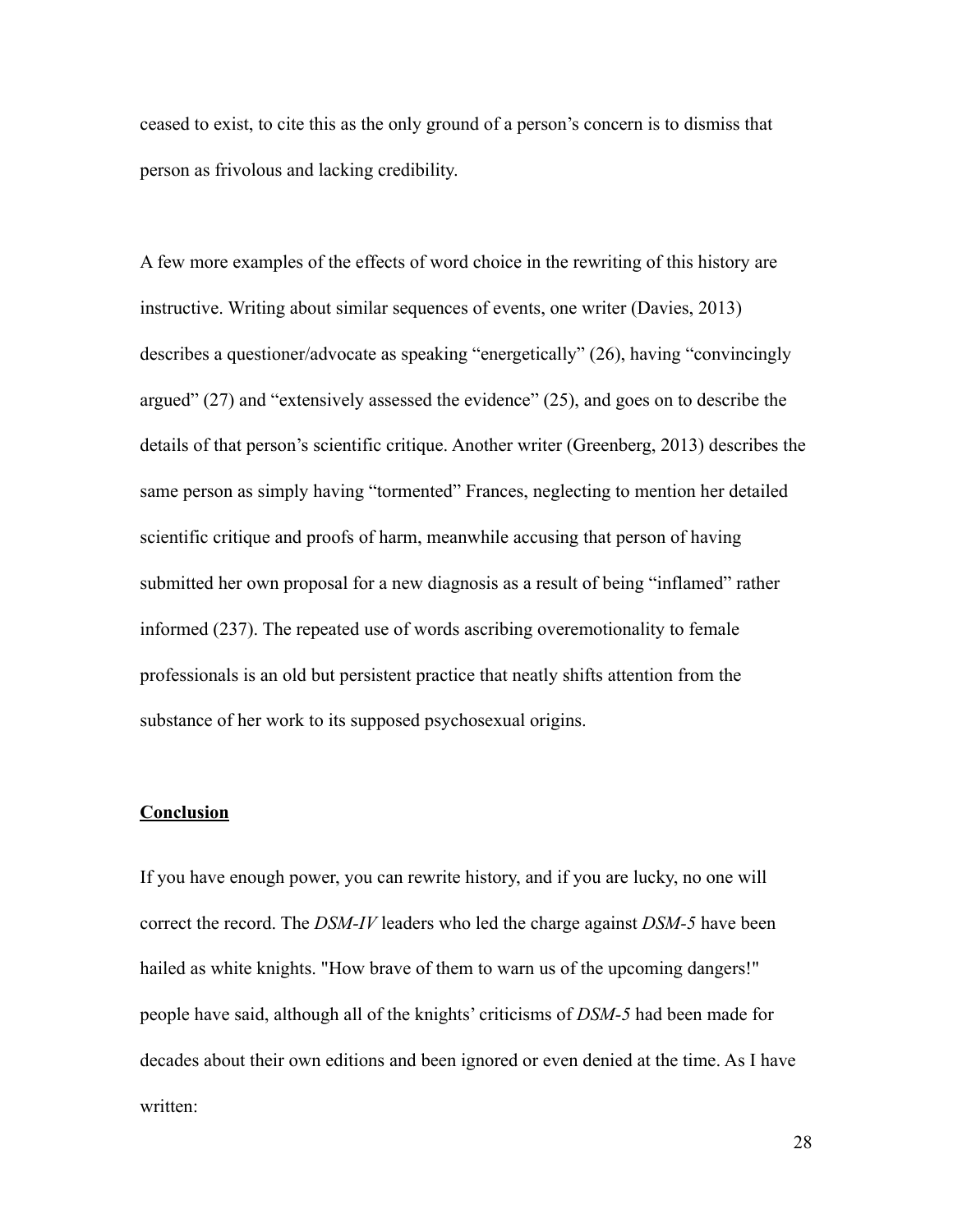ceased to exist, to cite this as the only ground of a person's concern is to dismiss that person as frivolous and lacking credibility.

A few more examples of the effects of word choice in the rewriting of this history are instructive. Writing about similar sequences of events, one writer (Davies, 2013) describes a questioner/advocate as speaking "energetically" (26), having "convincingly argued" (27) and "extensively assessed the evidence" (25), and goes on to describe the details of that person's scientific critique. Another writer (Greenberg, 2013) describes the same person as simply having "tormented" Frances, neglecting to mention her detailed scientific critique and proofs of harm, meanwhile accusing that person of having submitted her own proposal for a new diagnosis as a result of being "inflamed" rather informed (237). The repeated use of words ascribing overemotionality to female professionals is an old but persistent practice that neatly shifts attention from the substance of her work to its supposed psychosexual origins.

# **Conclusion**

If you have enough power, you can rewrite history, and if you are lucky, no one will correct the record. The *DSM-IV* leaders who led the charge against *DSM-5* have been hailed as white knights. "How brave of them to warn us of the upcoming dangers!" people have said, although all of the knights' criticisms of *DSM-5* had been made for decades about their own editions and been ignored or even denied at the time. As I have written: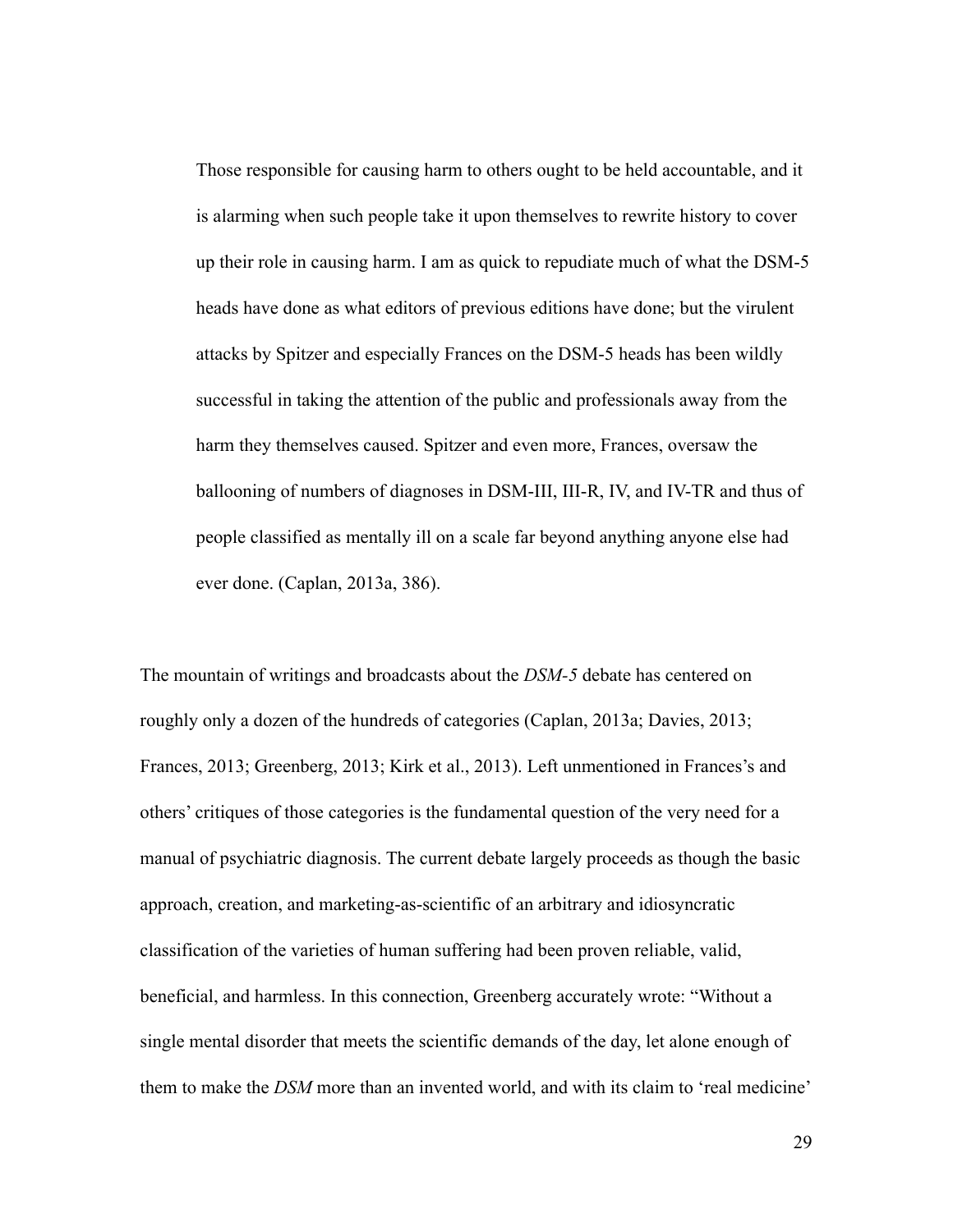Those responsible for causing harm to others ought to be held accountable, and it is alarming when such people take it upon themselves to rewrite history to cover up their role in causing harm. I am as quick to repudiate much of what the DSM-5 heads have done as what editors of previous editions have done; but the virulent attacks by Spitzer and especially Frances on the DSM-5 heads has been wildly successful in taking the attention of the public and professionals away from the harm they themselves caused. Spitzer and even more, Frances, oversaw the ballooning of numbers of diagnoses in DSM-III, III-R, IV, and IV-TR and thus of people classified as mentally ill on a scale far beyond anything anyone else had ever done. (Caplan, 2013a, 386).

The mountain of writings and broadcasts about the *DSM-5* debate has centered on roughly only a dozen of the hundreds of categories (Caplan, 2013a; Davies, 2013; Frances, 2013; Greenberg, 2013; Kirk et al., 2013). Left unmentioned in Frances's and others' critiques of those categories is the fundamental question of the very need for a manual of psychiatric diagnosis. The current debate largely proceeds as though the basic approach, creation, and marketing-as-scientific of an arbitrary and idiosyncratic classification of the varieties of human suffering had been proven reliable, valid, beneficial, and harmless. In this connection, Greenberg accurately wrote: "Without a single mental disorder that meets the scientific demands of the day, let alone enough of them to make the *DSM* more than an invented world, and with its claim to 'real medicine'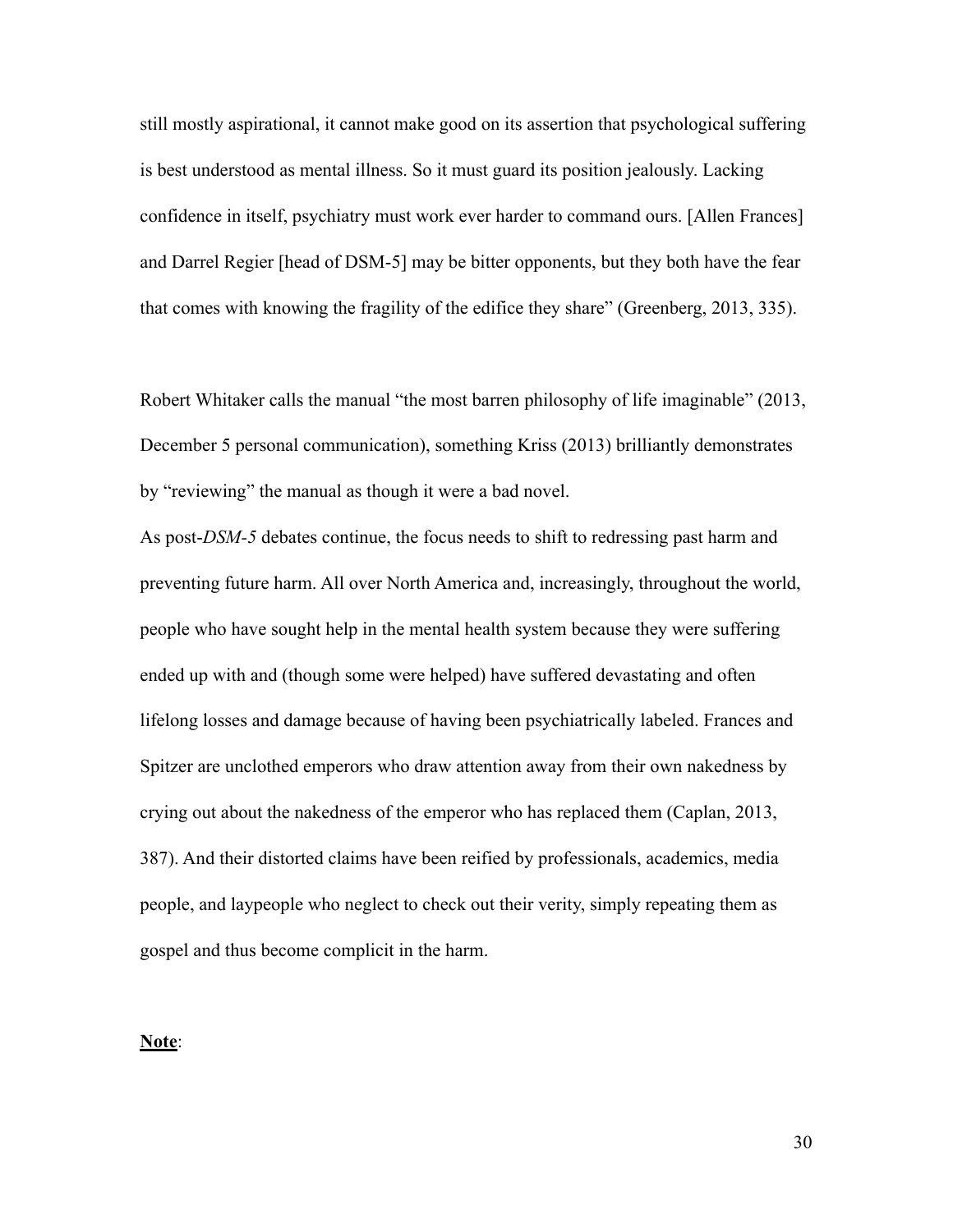still mostly aspirational, it cannot make good on its assertion that psychological suffering is best understood as mental illness. So it must guard its position jealously. Lacking confidence in itself, psychiatry must work ever harder to command ours. [Allen Frances] and Darrel Regier [head of DSM-5] may be bitter opponents, but they both have the fear that comes with knowing the fragility of the edifice they share" (Greenberg, 2013, 335).

Robert Whitaker calls the manual "the most barren philosophy of life imaginable" (2013, December 5 personal communication), something Kriss (2013) brilliantly demonstrates by "reviewing" the manual as though it were a bad novel.

As post-*DSM-5* debates continue, the focus needs to shift to redressing past harm and preventing future harm. All over North America and, increasingly, throughout the world, people who have sought help in the mental health system because they were suffering ended up with and (though some were helped) have suffered devastating and often lifelong losses and damage because of having been psychiatrically labeled. Frances and Spitzer are unclothed emperors who draw attention away from their own nakedness by crying out about the nakedness of the emperor who has replaced them (Caplan, 2013, 387). And their distorted claims have been reified by professionals, academics, media people, and laypeople who neglect to check out their verity, simply repeating them as gospel and thus become complicit in the harm.

#### **Note**: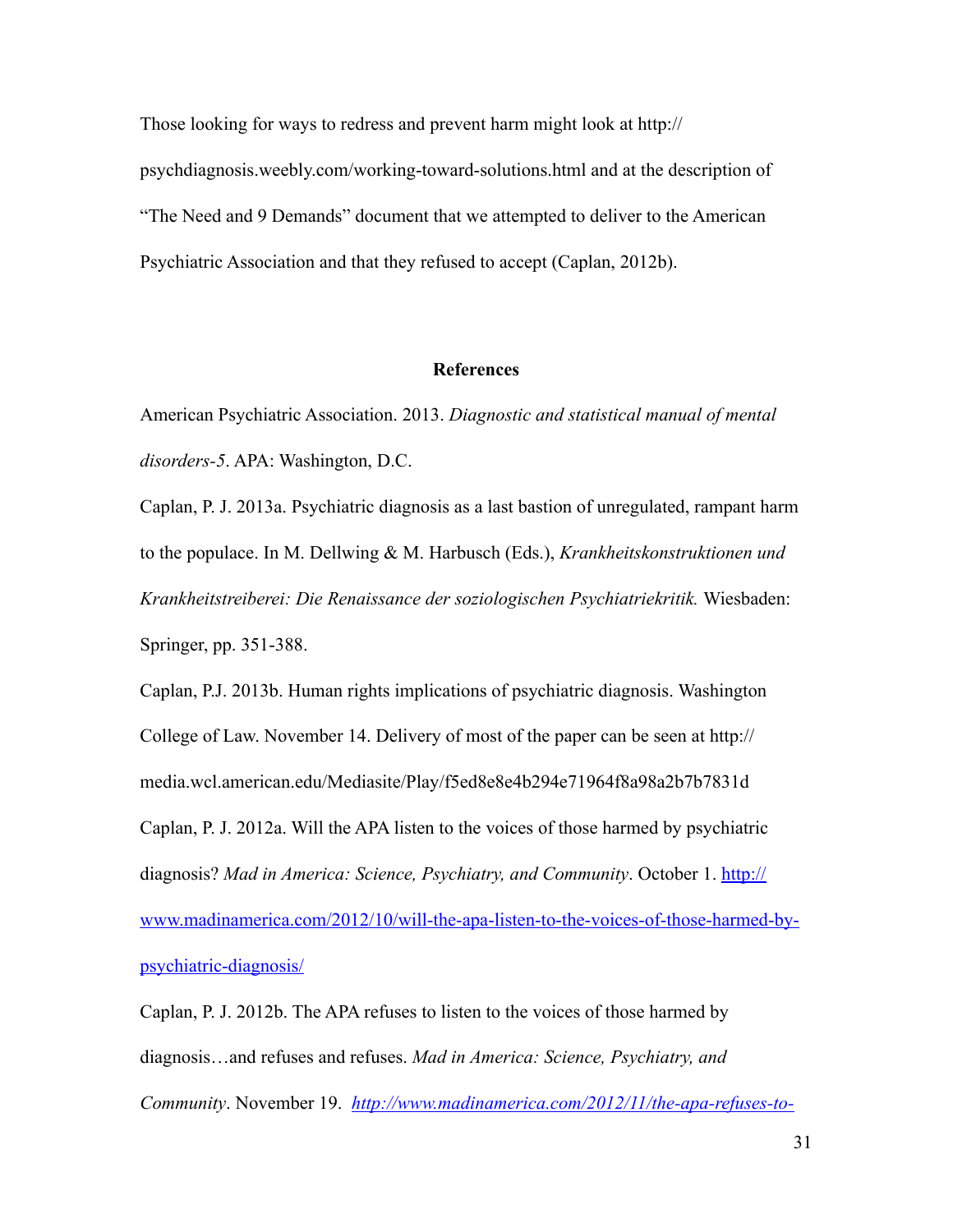Those looking for ways to redress and prevent harm might look at http:// psychdiagnosis.weebly.com/working-toward-solutions.html and at the description of "The Need and 9 Demands" document that we attempted to deliver to the American Psychiatric Association and that they refused to accept (Caplan, 2012b).

#### **References**

American Psychiatric Association. 2013. *Diagnostic and statistical manual of mental disorders-5*. APA: Washington, D.C.

Caplan, P. J. 2013a. Psychiatric diagnosis as a last bastion of unregulated, rampant harm to the populace. In M. Dellwing & M. Harbusch (Eds.), *Krankheitskonstruktionen und Krankheitstreiberei: Die Renaissance der soziologischen Psychiatriekritik.* Wiesbaden: Springer, pp. 351-388.

Caplan, P.J. 2013b. Human rights implications of psychiatric diagnosis. Washington College of Law. November 14. Delivery of most of the paper can be seen at http:// media.wcl.american.edu/Mediasite/Play/f5ed8e8e4b294e71964f8a98a2b7b7831d Caplan, P. J. 2012a. Will the APA listen to the voices of those harmed by psychiatric diagnosis? *Mad in America: Science, Psychiatry, and Community*. October 1. http:// www.madinamerica.com/2012/10/will-the-apa-listen-to-the-voices-of-those-harmed-bypsychiatric-diagnosis/

Caplan, P. J. 2012b. The APA refuses to listen to the voices of those harmed by diagnosis…and refuses and refuses. *Mad in America: Science, Psychiatry, and Community*. November 19. *http://www.madinamerica.com/2012/11/the-apa-refuses-to-*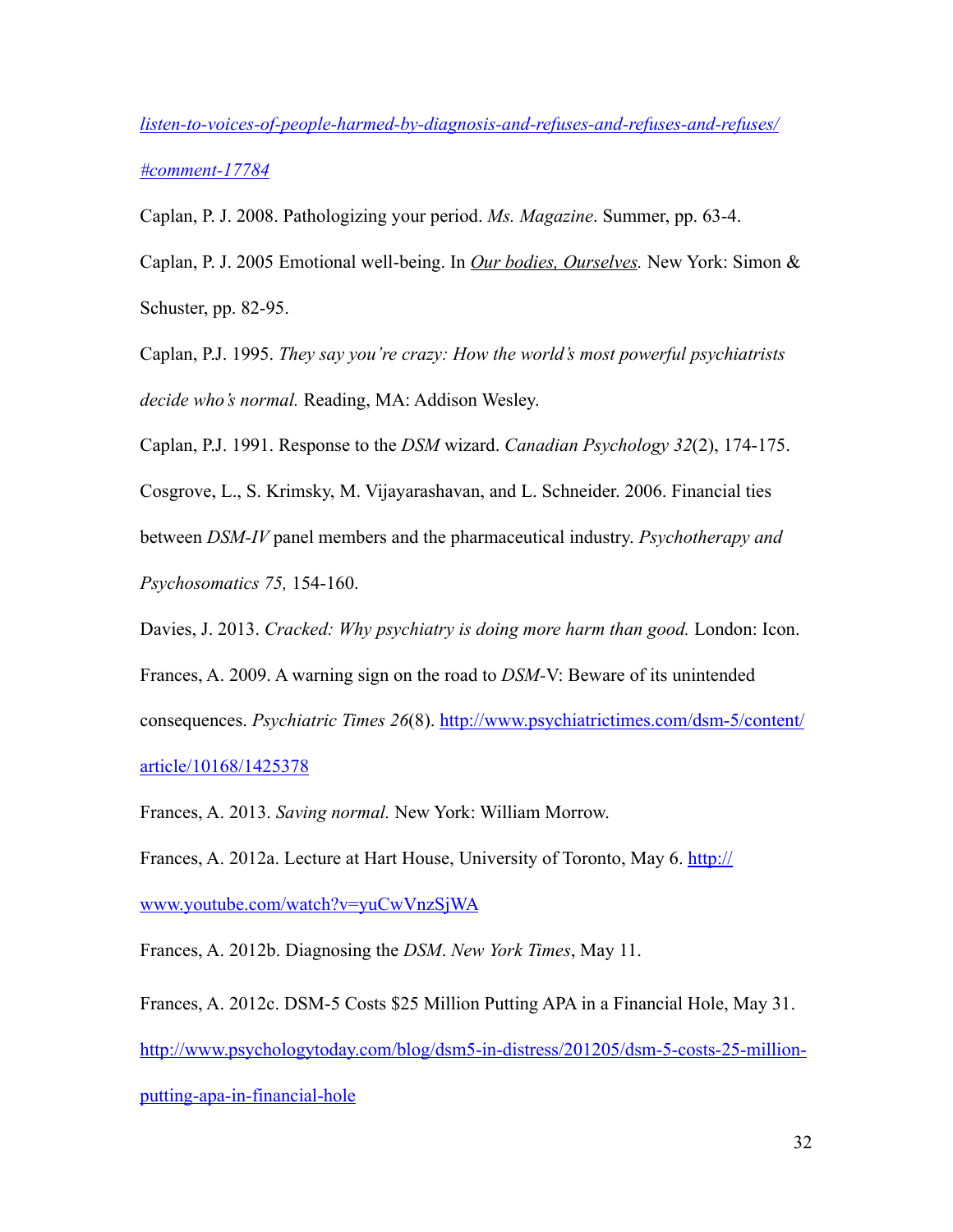*listen-to-voices-of-people-harmed-by-diagnosis-and-refuses-and-refuses-and-refuses/ #comment-17784*

Caplan, P. J. 2008. Pathologizing your period. *Ms. Magazine*. Summer, pp. 63-4.

Caplan, P. J. 2005 Emotional well-being. In *Our bodies, Ourselves.* New York: Simon & Schuster, pp. 82-95.

Caplan, P.J. 1995. *They say you're crazy: How the world's most powerful psychiatrists decide who's normal.* Reading, MA: Addison Wesley.

Caplan, P.J. 1991. Response to the *DSM* wizard. *Canadian Psychology 32*(2), 174-175.

Cosgrove, L., S. Krimsky, M. Vijayarashavan, and L. Schneider. 2006. Financial ties

between *DSM-IV* panel members and the pharmaceutical industry. *Psychotherapy and Psychosomatics 75,* 154-160.

Davies, J. 2013. *Cracked: Why psychiatry is doing more harm than good.* London: Icon.

Frances, A. 2009. A warning sign on the road to *DSM-*V: Beware of its unintended

consequences. *Psychiatric Times 26*(8). http://www.psychiatrictimes.com/dsm-5/content/ article/10168/1425378

Frances, A. 2013. *Saving normal.* New York: William Morrow.

Frances, A. 2012a. Lecture at Hart House, University of Toronto, May 6. http://

www.youtube.com/watch?v=yuCwVnzSjWA

Frances, A. 2012b. Diagnosing the *DSM*. *New York Times*, May 11.

Frances, A. 2012c. DSM-5 Costs \$25 Million Putting APA in a Financial Hole, May 31. http://www.psychologytoday.com/blog/dsm5-in-distress/201205/dsm-5-costs-25-millionputting-apa-in-financial-hole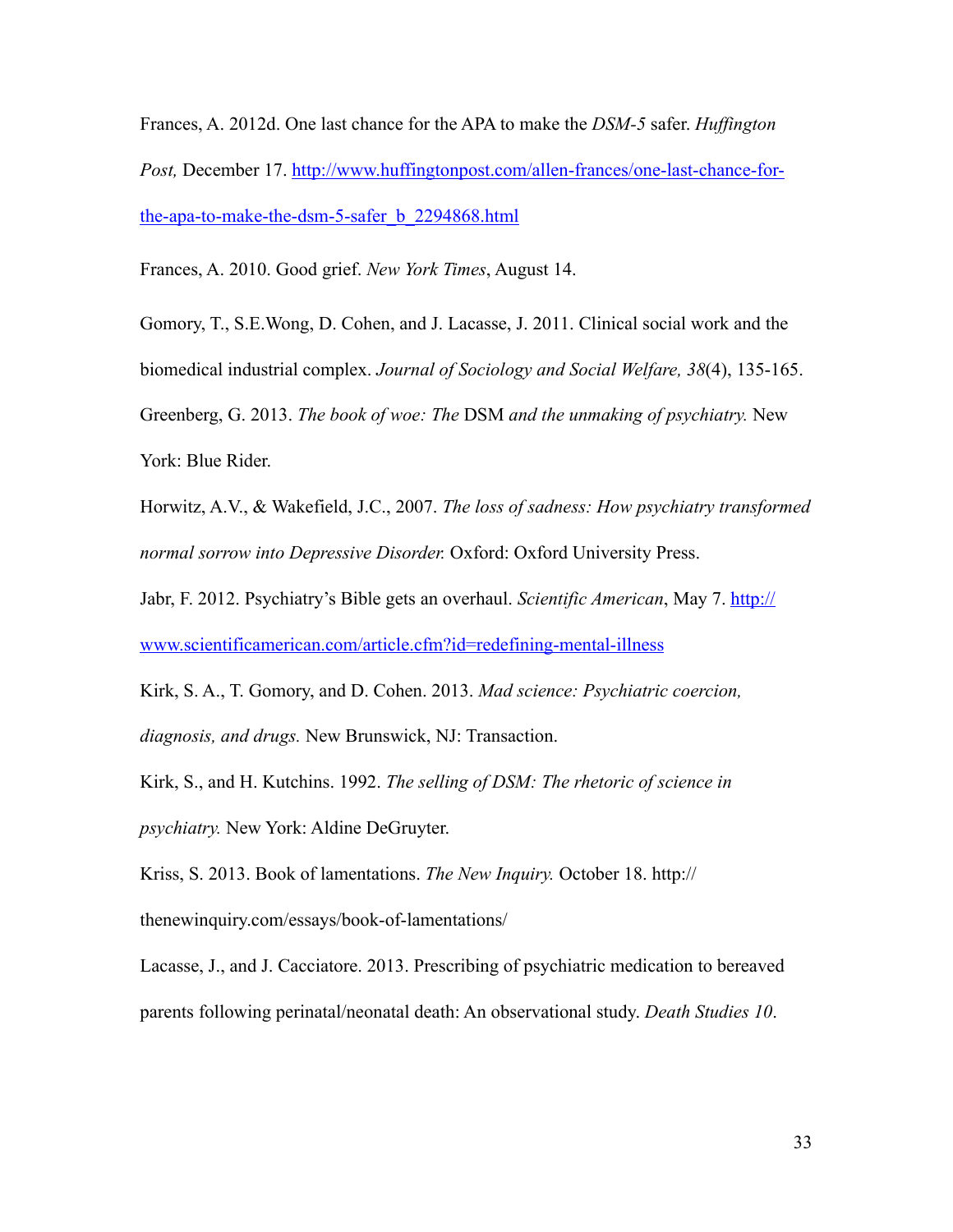Frances, A. 2012d. One last chance for the APA to make the *DSM-5* safer. *Huffington Post,* December 17. http://www.huffingtonpost.com/allen-frances/one-last-chance-forthe-apa-to-make-the-dsm-5-safer\_b\_2294868.html

Frances, A. 2010. Good grief. *New York Times*, August 14.

Gomory, T., S.E.Wong, D. Cohen, and J. Lacasse, J. 2011. Clinical social work and the biomedical industrial complex. *Journal of Sociology and Social Welfare, 38*(4), 135-165. Greenberg, G. 2013. *The book of woe: The* DSM *and the unmaking of psychiatry.* New York: Blue Rider.

Horwitz, A.V., & Wakefield, J.C., 2007. *The loss of sadness: How psychiatry transformed normal sorrow into Depressive Disorder.* Oxford: Oxford University Press.

Jabr, F. 2012. Psychiatry's Bible gets an overhaul. *Scientific American*, May 7. http:// www.scientificamerican.com/article.cfm?id=redefining-mental-illness

Kirk, S. A., T. Gomory, and D. Cohen. 2013. *Mad science: Psychiatric coercion, diagnosis, and drugs.* New Brunswick, NJ: Transaction.

Kirk, S., and H. Kutchins. 1992. *The selling of DSM: The rhetoric of science in psychiatry.* New York: Aldine DeGruyter.

Kriss, S. 2013. Book of lamentations. *The New Inquiry.* October 18. http:// thenewinquiry.com/essays/book-of-lamentations/

Lacasse, J., and J. Cacciatore. 2013. Prescribing of psychiatric medication to bereaved parents following perinatal/neonatal death: An observational study. *Death Studies 10*.